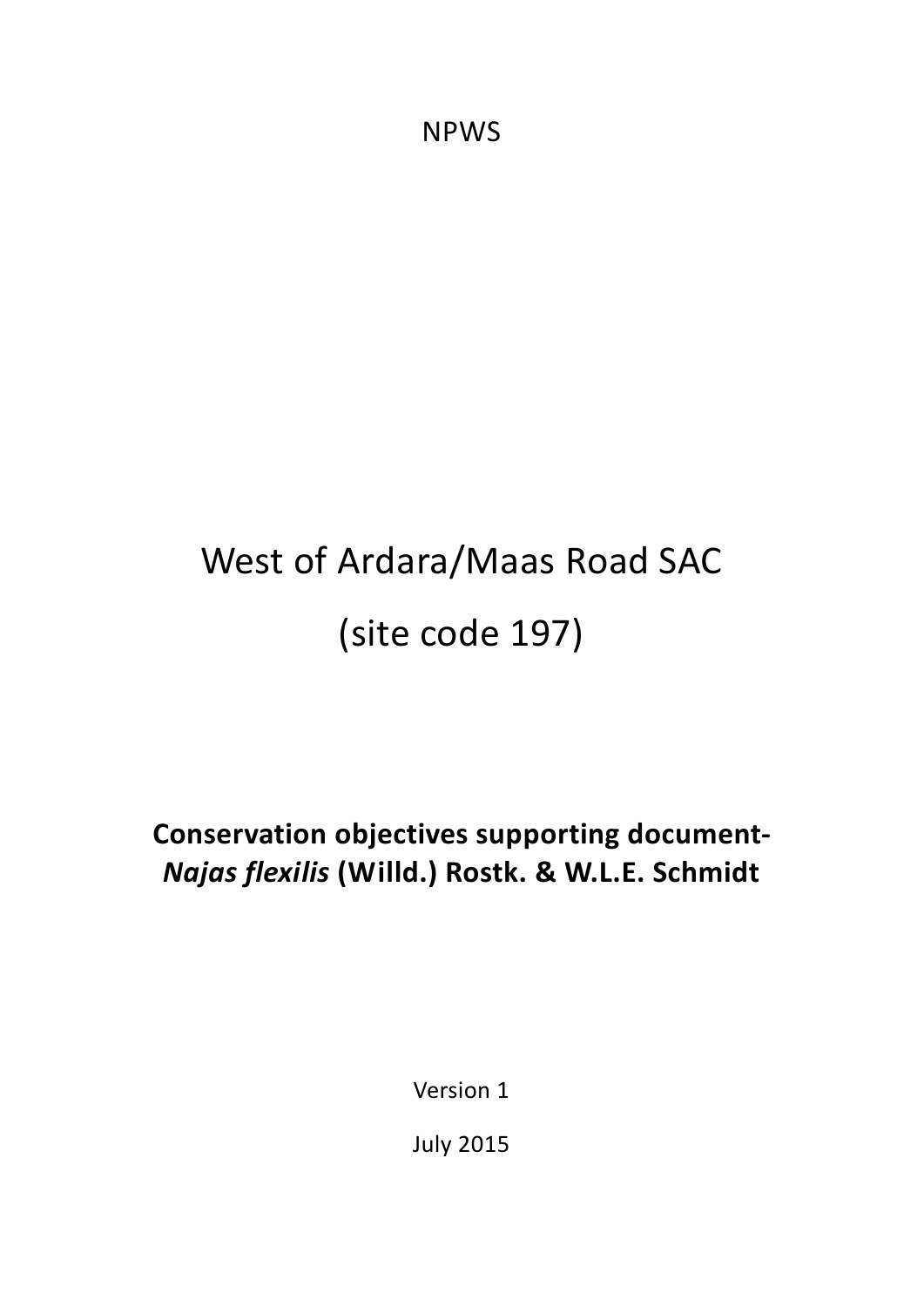NPWS

# West of Ardara/Maas Road SAC (site code 197)

# **Conservation objectives supporting document-***Najas flexilis* **(Willd.) Rostk. & W.L.E. Schmidt**

Version 1

July 2015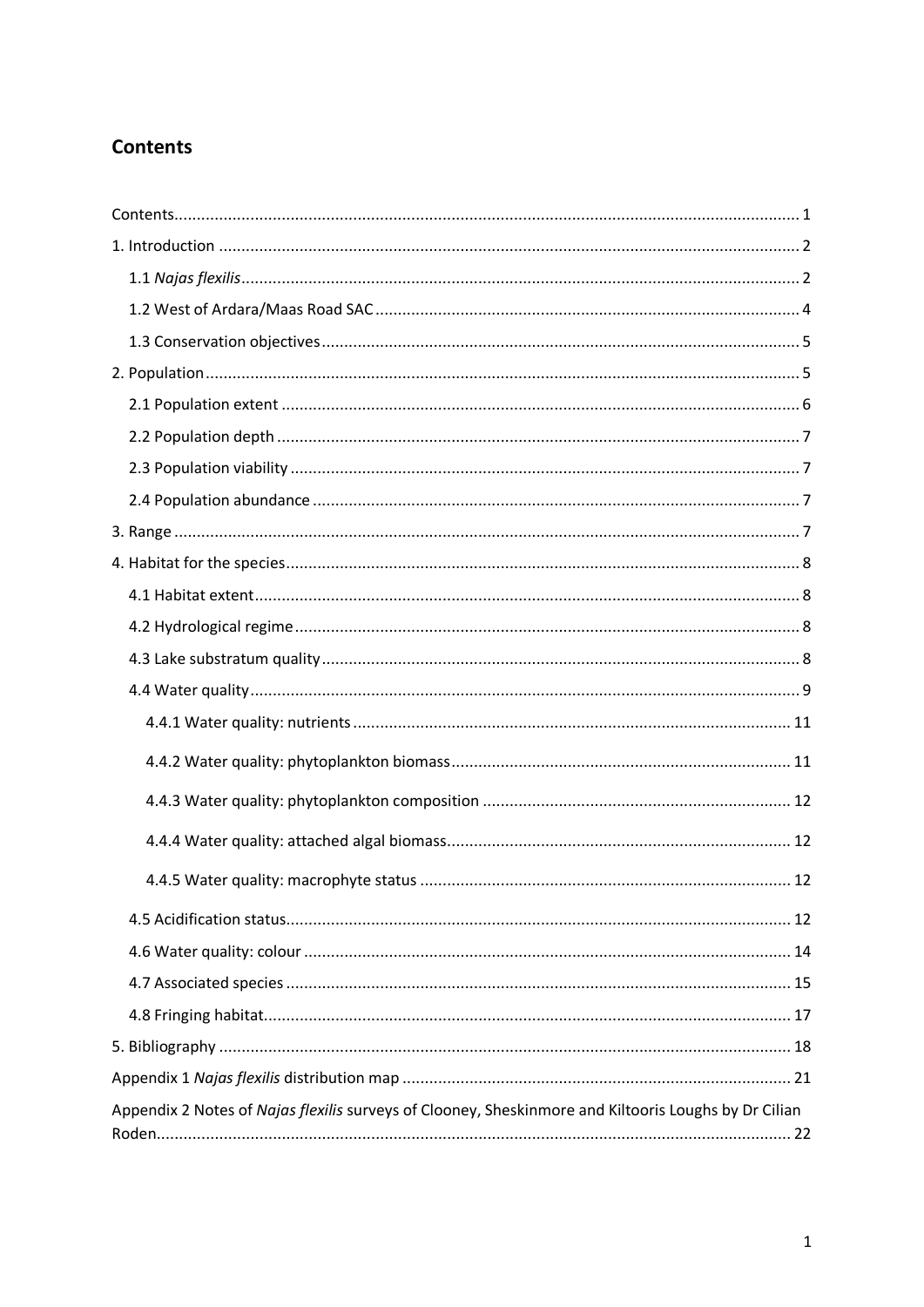# <span id="page-1-0"></span>**Contents**

| Appendix 2 Notes of Najas flexilis surveys of Clooney, Sheskinmore and Kiltooris Loughs by Dr Cilian |
|------------------------------------------------------------------------------------------------------|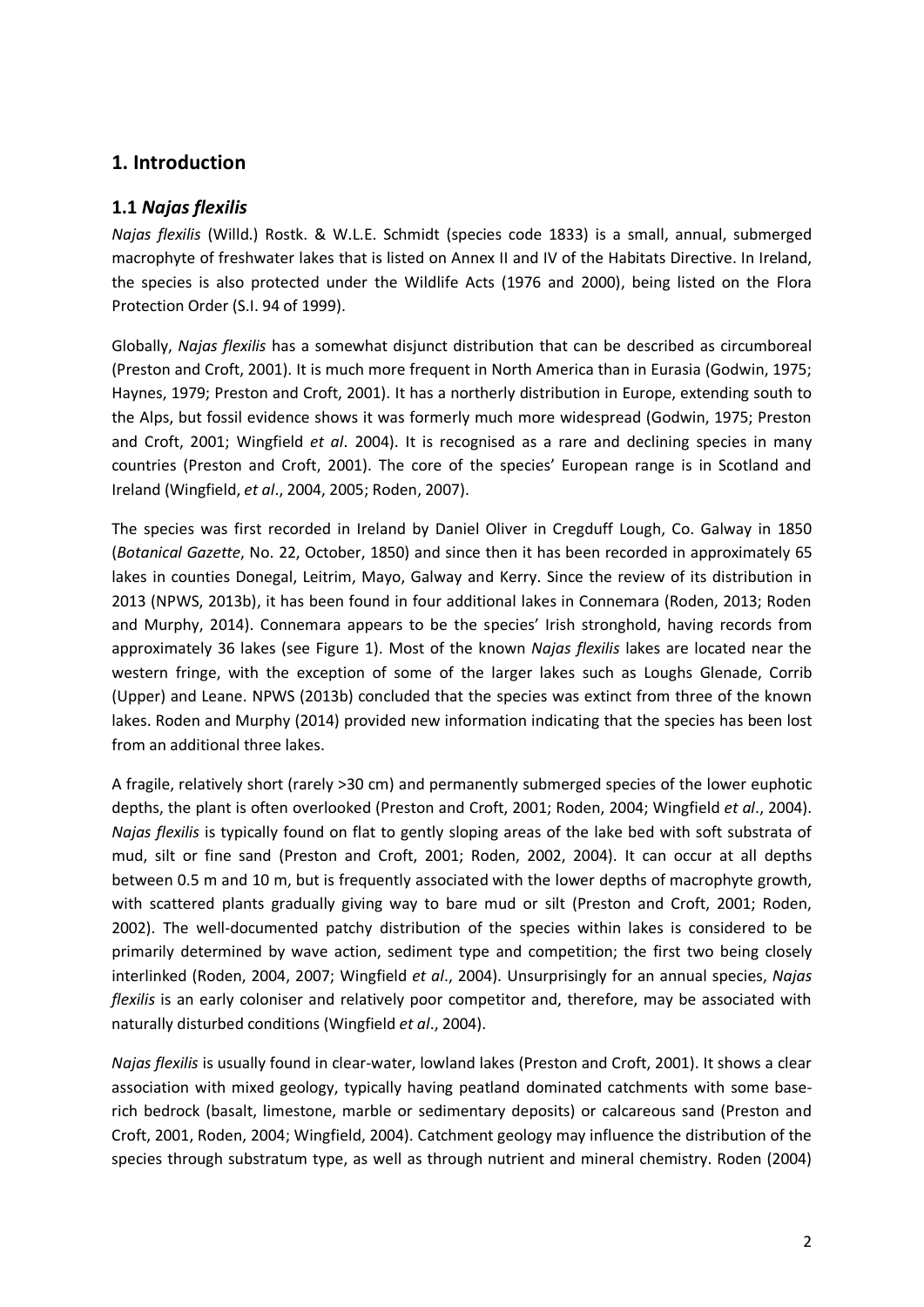# <span id="page-2-0"></span>**1. Introduction**

# <span id="page-2-1"></span>**1.1** *Najas flexilis*

*Najas flexilis* (Willd.) Rostk. & W.L.E. Schmidt (species code 1833) is a small, annual, submerged macrophyte of freshwater lakes that is listed on Annex II and IV of the Habitats Directive. In Ireland, the species is also protected under the Wildlife Acts (1976 and 2000), being listed on the Flora Protection Order (S.I. 94 of 1999).

Globally, *Najas flexilis* has a somewhat disjunct distribution that can be described as circumboreal (Preston and Croft, 2001). It is much more frequent in North America than in Eurasia (Godwin, 1975; Haynes, 1979; Preston and Croft, 2001). It has a northerly distribution in Europe, extending south to the Alps, but fossil evidence shows it was formerly much more widespread (Godwin, 1975; Preston and Croft, 2001; Wingfield *et al*. 2004). It is recognised as a rare and declining species in many countries (Preston and Croft, 2001). The core of the species' European range is in Scotland and Ireland (Wingfield, *et al*., 2004, 2005; Roden, 2007).

The species was first recorded in Ireland by Daniel Oliver in Cregduff Lough, Co. Galway in 1850 (*Botanical Gazette*, No. 22, October, 1850) and since then it has been recorded in approximately 65 lakes in counties Donegal, Leitrim, Mayo, Galway and Kerry. Since the review of its distribution in 2013 (NPWS, 2013b), it has been found in four additional lakes in Connemara (Roden, 2013; Roden and Murphy, 2014). Connemara appears to be the species' Irish stronghold, having records from approximately 36 lakes (see Figure 1). Most of the known *Najas flexilis* lakes are located near the western fringe, with the exception of some of the larger lakes such as Loughs Glenade, Corrib (Upper) and Leane. NPWS (2013b) concluded that the species was extinct from three of the known lakes. Roden and Murphy (2014) provided new information indicating that the species has been lost from an additional three lakes.

A fragile, relatively short (rarely >30 cm) and permanently submerged species of the lower euphotic depths, the plant is often overlooked (Preston and Croft, 2001; Roden, 2004; Wingfield *et al*., 2004). *Najas flexilis* is typically found on flat to gently sloping areas of the lake bed with soft substrata of mud, silt or fine sand (Preston and Croft, 2001; Roden, 2002, 2004). It can occur at all depths between 0.5 m and 10 m, but is frequently associated with the lower depths of macrophyte growth, with scattered plants gradually giving way to bare mud or silt (Preston and Croft, 2001; Roden, 2002). The well-documented patchy distribution of the species within lakes is considered to be primarily determined by wave action, sediment type and competition; the first two being closely interlinked (Roden, 2004, 2007; Wingfield *et al*., 2004). Unsurprisingly for an annual species, *Najas flexilis* is an early coloniser and relatively poor competitor and, therefore, may be associated with naturally disturbed conditions (Wingfield *et al*., 2004).

*Najas flexilis* is usually found in clear-water, lowland lakes (Preston and Croft, 2001). It shows a clear association with mixed geology, typically having peatland dominated catchments with some baserich bedrock (basalt, limestone, marble or sedimentary deposits) or calcareous sand (Preston and Croft, 2001, Roden, 2004; Wingfield, 2004). Catchment geology may influence the distribution of the species through substratum type, as well as through nutrient and mineral chemistry. Roden (2004)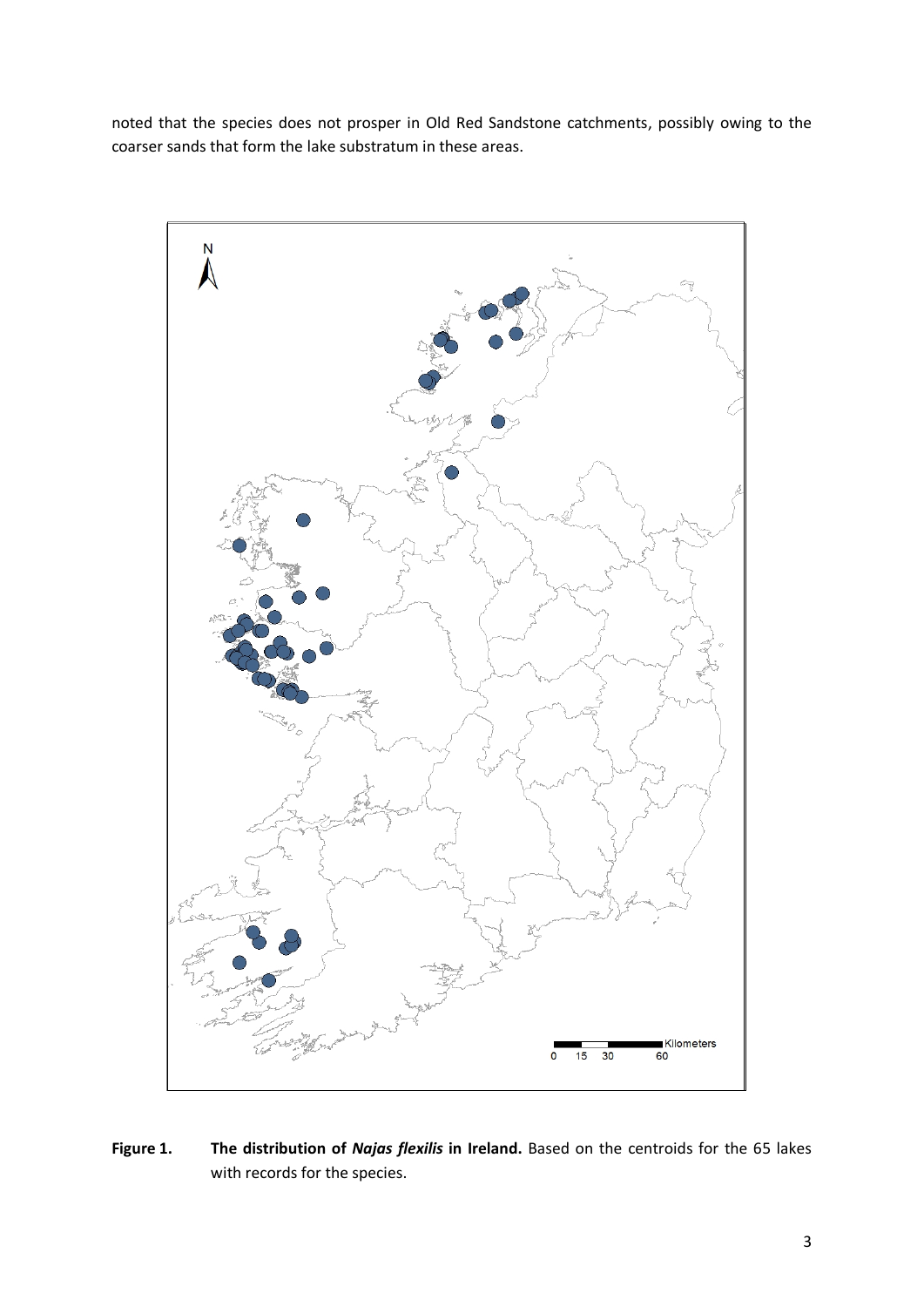noted that the species does not prosper in Old Red Sandstone catchments, possibly owing to the coarser sands that form the lake substratum in these areas.



**Figure 1. The distribution of** *Najas flexilis* **in Ireland.** Based on the centroids for the 65 lakes with records for the species.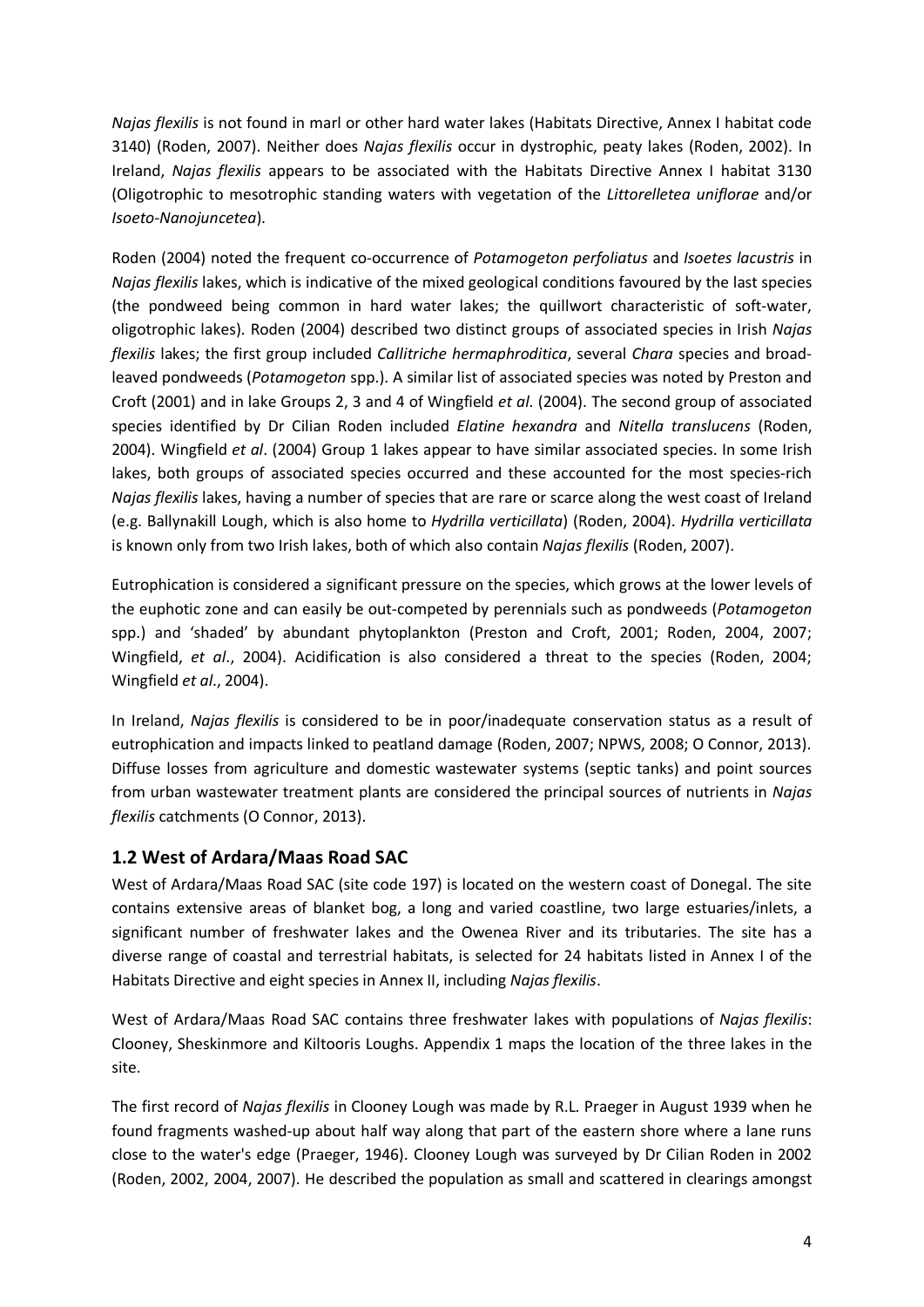*Najas flexilis* is not found in marl or other hard water lakes (Habitats Directive, Annex I habitat code 3140) (Roden, 2007). Neither does *Najas flexilis* occur in dystrophic, peaty lakes (Roden, 2002). In Ireland, *Najas flexilis* appears to be associated with the Habitats Directive Annex I habitat 3130 (Oligotrophic to mesotrophic standing waters with vegetation of the *Littorelletea uniflorae* and/or *Isoeto-Nanojuncetea*).

Roden (2004) noted the frequent co-occurrence of *Potamogeton perfoliatus* and *Isoetes lacustris* in *Najas flexilis* lakes, which is indicative of the mixed geological conditions favoured by the last species (the pondweed being common in hard water lakes; the quillwort characteristic of soft-water, oligotrophic lakes). Roden (2004) described two distinct groups of associated species in Irish *Najas flexilis* lakes; the first group included *Callitriche hermaphroditica*, several *Chara* species and broadleaved pondweeds (*Potamogeton* spp.). A similar list of associated species was noted by Preston and Croft (2001) and in lake Groups 2, 3 and 4 of Wingfield *et al*. (2004). The second group of associated species identified by Dr Cilian Roden included *Elatine hexandra* and *Nitella translucens* (Roden, 2004). Wingfield *et al*. (2004) Group 1 lakes appear to have similar associated species. In some Irish lakes, both groups of associated species occurred and these accounted for the most species-rich *Najas flexilis* lakes, having a number of species that are rare or scarce along the west coast of Ireland (e.g. Ballynakill Lough, which is also home to *Hydrilla verticillata*) (Roden, 2004). *Hydrilla verticillata* is known only from two Irish lakes, both of which also contain *Najas flexilis* (Roden, 2007).

Eutrophication is considered a significant pressure on the species, which grows at the lower levels of the euphotic zone and can easily be out-competed by perennials such as pondweeds (*Potamogeton* spp.) and 'shaded' by abundant phytoplankton (Preston and Croft, 2001; Roden, 2004, 2007; Wingfield, *et al*., 2004). Acidification is also considered a threat to the species (Roden, 2004; Wingfield *et al*., 2004).

In Ireland, *Najas flexilis* is considered to be in poor/inadequate conservation status as a result of eutrophication and impacts linked to peatland damage (Roden, 2007; NPWS, 2008; O Connor, 2013). Diffuse losses from agriculture and domestic wastewater systems (septic tanks) and point sources from urban wastewater treatment plants are considered the principal sources of nutrients in *Najas flexilis* catchments (O Connor, 2013).

# <span id="page-4-0"></span>**1.2 West of Ardara/Maas Road SAC**

West of Ardara/Maas Road SAC (site code 197) is located on the western coast of Donegal. The site contains extensive areas of blanket bog, a long and varied coastline, two large estuaries/inlets, a significant number of freshwater lakes and the Owenea River and its tributaries. The site has a diverse range of coastal and terrestrial habitats, is selected for 24 habitats listed in Annex I of the Habitats Directive and eight species in Annex II, including *Najas flexilis*.

West of Ardara/Maas Road SAC contains three freshwater lakes with populations of *Najas flexilis*: Clooney, Sheskinmore and Kiltooris Loughs. Appendix 1 maps the location of the three lakes in the site.

The first record of *Najas flexilis* in Clooney Lough was made by R.L. Praeger in August 1939 when he found fragments washed-up about half way along that part of the eastern shore where a lane runs close to the water's edge (Praeger, 1946). Clooney Lough was surveyed by Dr Cilian Roden in 2002 (Roden, 2002, 2004, 2007). He described the population as small and scattered in clearings amongst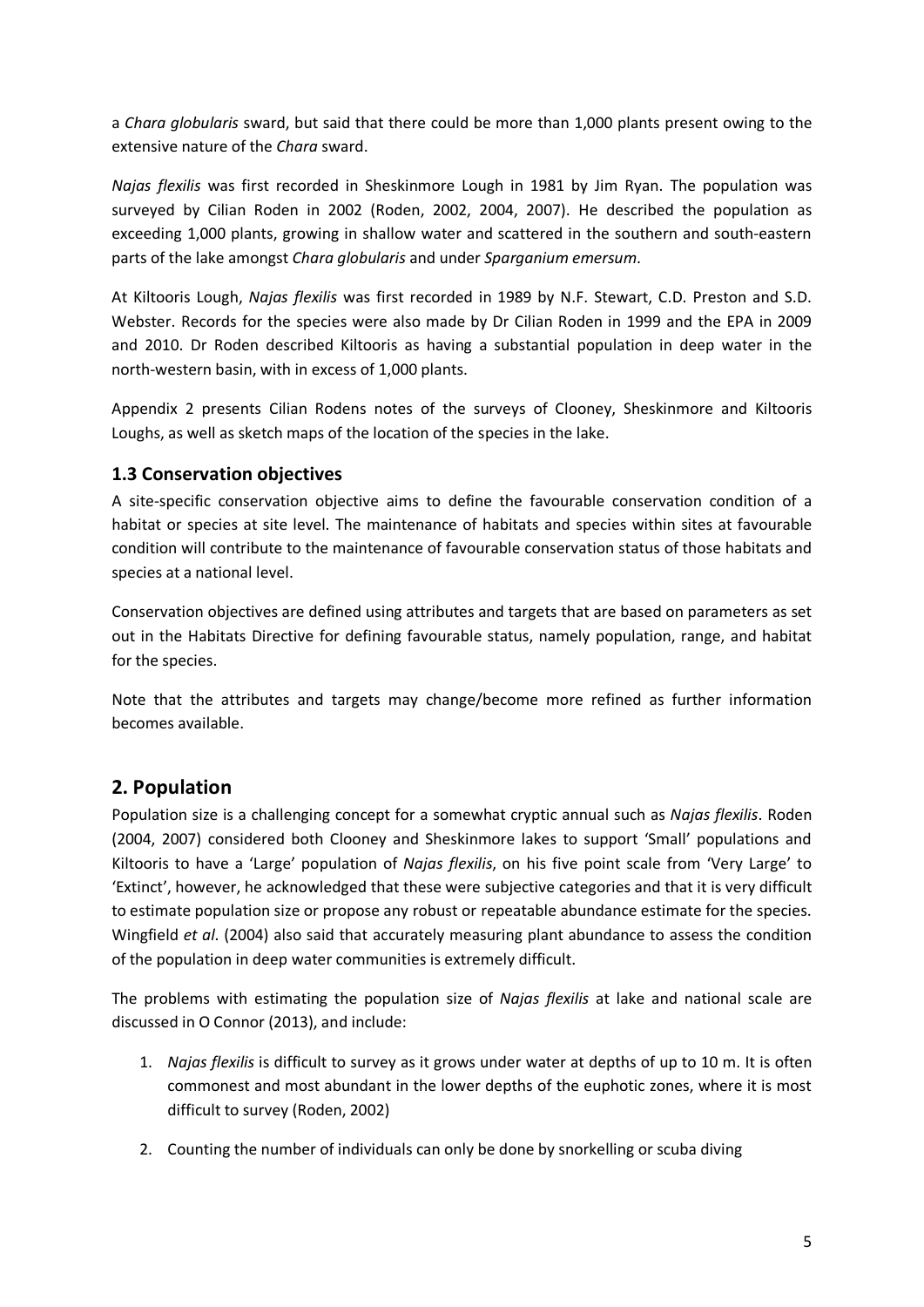a *Chara globularis* sward, but said that there could be more than 1,000 plants present owing to the extensive nature of the *Chara* sward.

*Najas flexilis* was first recorded in Sheskinmore Lough in 1981 by Jim Ryan. The population was surveyed by Cilian Roden in 2002 (Roden, 2002, 2004, 2007). He described the population as exceeding 1,000 plants, growing in shallow water and scattered in the southern and south-eastern parts of the lake amongst *Chara globularis* and under *Sparganium emersum*.

At Kiltooris Lough, *Najas flexilis* was first recorded in 1989 by N.F. Stewart, C.D. Preston and S.D. Webster. Records for the species were also made by Dr Cilian Roden in 1999 and the EPA in 2009 and 2010. Dr Roden described Kiltooris as having a substantial population in deep water in the north-western basin, with in excess of 1,000 plants.

Appendix 2 presents Cilian Rodens notes of the surveys of Clooney, Sheskinmore and Kiltooris Loughs, as well as sketch maps of the location of the species in the lake.

# <span id="page-5-0"></span>**1.3 Conservation objectives**

A site-specific conservation objective aims to define the favourable conservation condition of a habitat or species at site level. The maintenance of habitats and species within sites at favourable condition will contribute to the maintenance of favourable conservation status of those habitats and species at a national level.

Conservation objectives are defined using attributes and targets that are based on parameters as set out in the Habitats Directive for defining favourable status, namely population, range, and habitat for the species.

Note that the attributes and targets may change/become more refined as further information becomes available.

# <span id="page-5-1"></span>**2. Population**

Population size is a challenging concept for a somewhat cryptic annual such as *Najas flexilis*. Roden (2004, 2007) considered both Clooney and Sheskinmore lakes to support 'Small' populations and Kiltooris to have a 'Large' population of *Najas flexilis*, on his five point scale from 'Very Large' to 'Extinct', however, he acknowledged that these were subjective categories and that it is very difficult to estimate population size or propose any robust or repeatable abundance estimate for the species. Wingfield *et al*. (2004) also said that accurately measuring plant abundance to assess the condition of the population in deep water communities is extremely difficult.

The problems with estimating the population size of *Najas flexilis* at lake and national scale are discussed in O Connor (2013), and include:

- 1. *Najas flexilis* is difficult to survey as it grows under water at depths of up to 10 m. It is often commonest and most abundant in the lower depths of the euphotic zones, where it is most difficult to survey (Roden, 2002)
- 2. Counting the number of individuals can only be done by snorkelling or scuba diving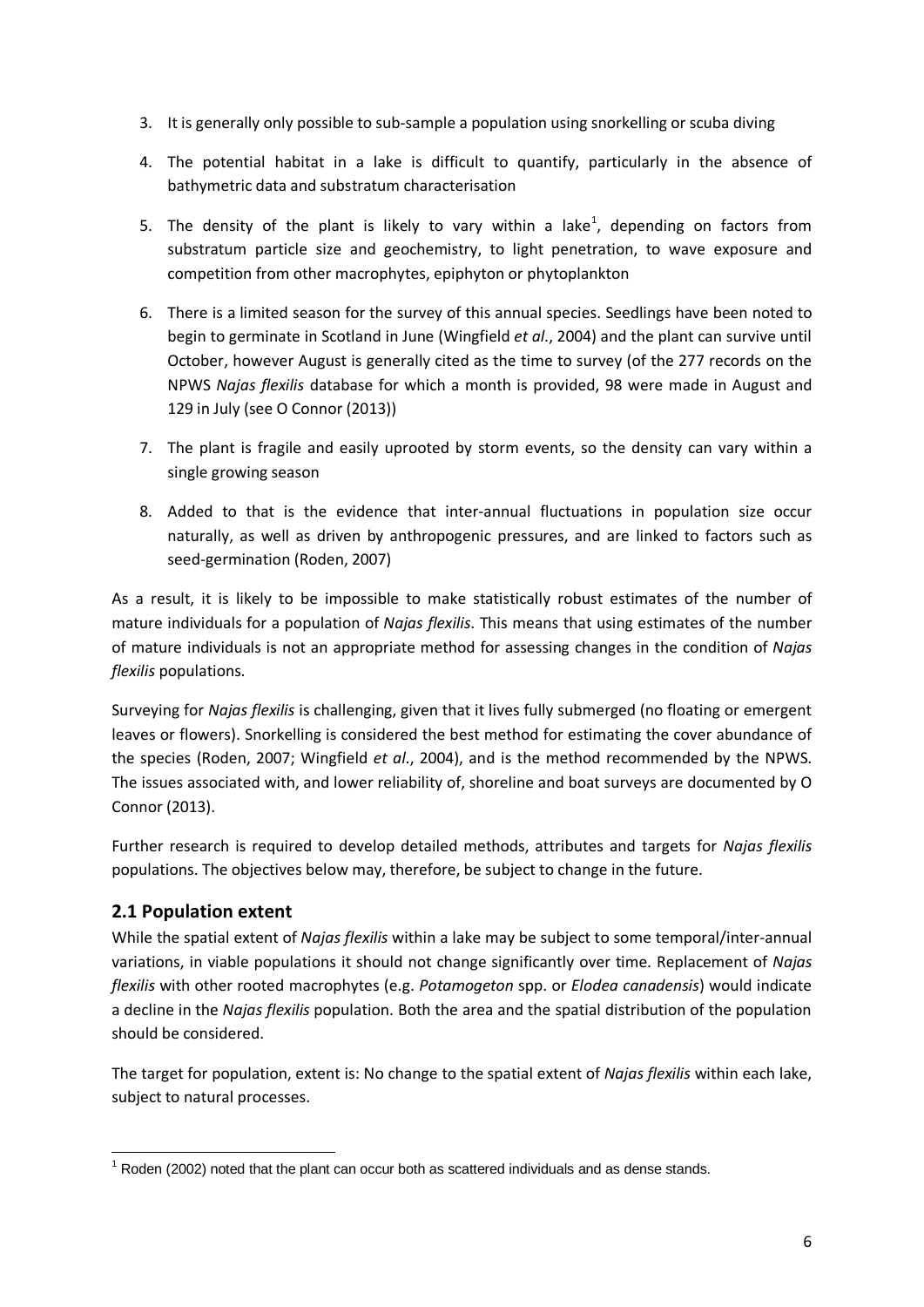- 3. It is generally only possible to sub-sample a population using snorkelling or scuba diving
- 4. The potential habitat in a lake is difficult to quantify, particularly in the absence of bathymetric data and substratum characterisation
- 5. The density of the plant is likely to vary within a lake<sup>[1](#page-6-1)</sup>, depending on factors from substratum particle size and geochemistry, to light penetration, to wave exposure and competition from other macrophytes, epiphyton or phytoplankton
- 6. There is a limited season for the survey of this annual species. Seedlings have been noted to begin to germinate in Scotland in June (Wingfield *et al*., 2004) and the plant can survive until October, however August is generally cited as the time to survey (of the 277 records on the NPWS *Najas flexilis* database for which a month is provided, 98 were made in August and 129 in July (see O Connor (2013))
- 7. The plant is fragile and easily uprooted by storm events, so the density can vary within a single growing season
- 8. Added to that is the evidence that inter-annual fluctuations in population size occur naturally, as well as driven by anthropogenic pressures, and are linked to factors such as seed-germination (Roden, 2007)

As a result, it is likely to be impossible to make statistically robust estimates of the number of mature individuals for a population of *Najas flexilis*. This means that using estimates of the number of mature individuals is not an appropriate method for assessing changes in the condition of *Najas flexilis* populations.

Surveying for *Najas flexilis* is challenging, given that it lives fully submerged (no floating or emergent leaves or flowers). Snorkelling is considered the best method for estimating the cover abundance of the species (Roden, 2007; Wingfield *et al*., 2004), and is the method recommended by the NPWS. The issues associated with, and lower reliability of, shoreline and boat surveys are documented by O Connor (2013).

Further research is required to develop detailed methods, attributes and targets for *Najas flexilis*  populations. The objectives below may, therefore, be subject to change in the future.

# <span id="page-6-0"></span>**2.1 Population extent**

While the spatial extent of *Najas flexilis* within a lake may be subject to some temporal/inter-annual variations, in viable populations it should not change significantly over time. Replacement of *Najas flexilis* with other rooted macrophytes (e.g. *Potamogeton* spp. or *Elodea canadensis*) would indicate a decline in the *Najas flexilis* population. Both the area and the spatial distribution of the population should be considered.

The target for population, extent is: No change to the spatial extent of *Najas flexilis* within each lake, subject to natural processes.

<span id="page-6-1"></span> $1$  Roden (2002) noted that the plant can occur both as scattered individuals and as dense stands.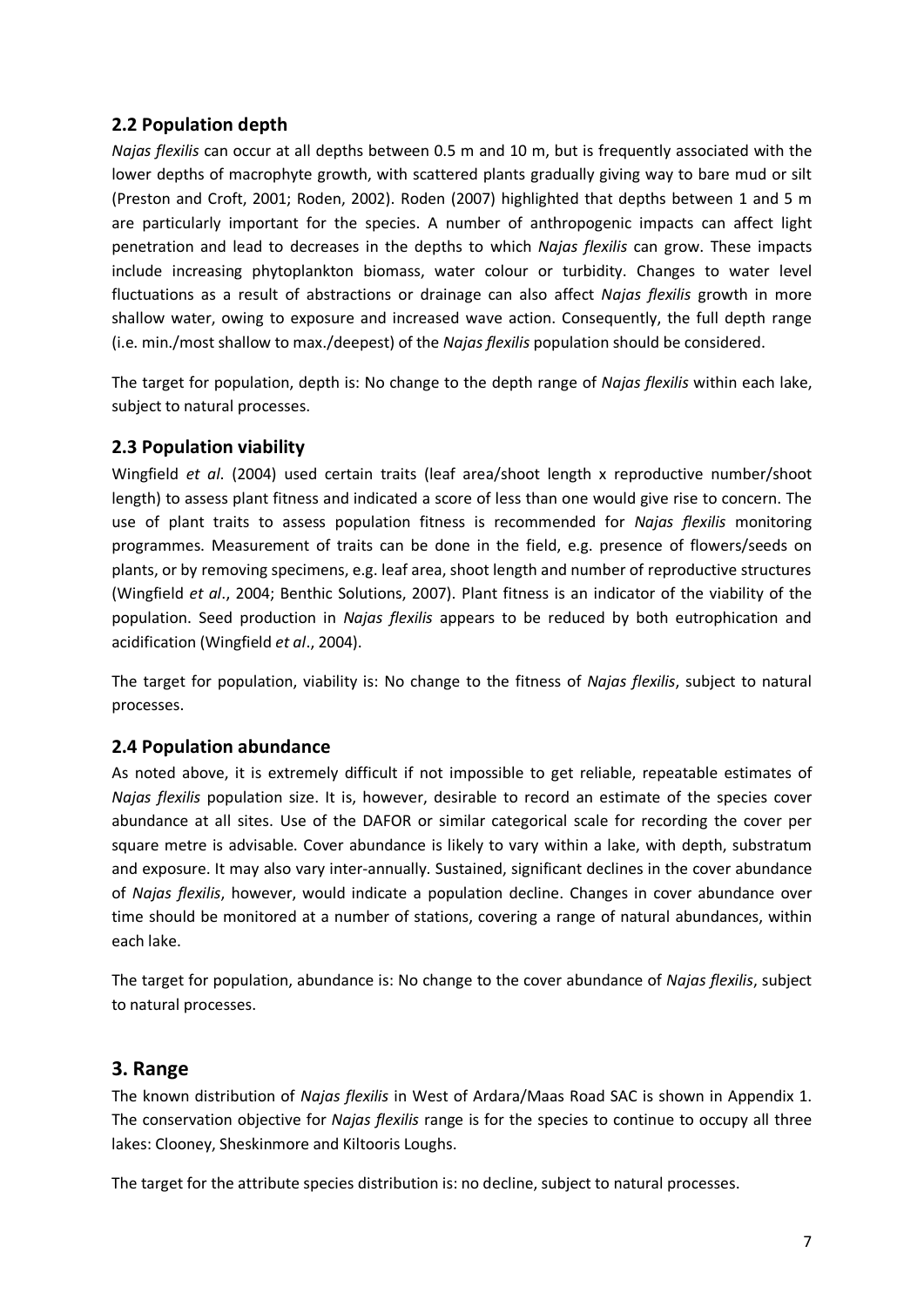# <span id="page-7-0"></span>**2.2 Population depth**

*Najas flexilis* can occur at all depths between 0.5 m and 10 m, but is frequently associated with the lower depths of macrophyte growth, with scattered plants gradually giving way to bare mud or silt (Preston and Croft, 2001; Roden, 2002). Roden (2007) highlighted that depths between 1 and 5 m are particularly important for the species. A number of anthropogenic impacts can affect light penetration and lead to decreases in the depths to which *Najas flexilis* can grow. These impacts include increasing phytoplankton biomass, water colour or turbidity. Changes to water level fluctuations as a result of abstractions or drainage can also affect *Najas flexilis* growth in more shallow water, owing to exposure and increased wave action. Consequently, the full depth range (i.e. min./most shallow to max./deepest) of the *Najas flexilis* population should be considered.

The target for population, depth is: No change to the depth range of *Najas flexilis* within each lake, subject to natural processes.

# <span id="page-7-1"></span>**2.3 Population viability**

Wingfield *et al*. (2004) used certain traits (leaf area/shoot length x reproductive number/shoot length) to assess plant fitness and indicated a score of less than one would give rise to concern. The use of plant traits to assess population fitness is recommended for *Najas flexilis* monitoring programmes. Measurement of traits can be done in the field, e.g. presence of flowers/seeds on plants, or by removing specimens, e.g. leaf area, shoot length and number of reproductive structures (Wingfield *et al*., 2004; Benthic Solutions, 2007). Plant fitness is an indicator of the viability of the population. Seed production in *Najas flexilis* appears to be reduced by both eutrophication and acidification (Wingfield *et al*., 2004).

The target for population, viability is: No change to the fitness of *Najas flexilis*, subject to natural processes.

# <span id="page-7-2"></span>**2.4 Population abundance**

As noted above, it is extremely difficult if not impossible to get reliable, repeatable estimates of *Najas flexilis* population size. It is, however, desirable to record an estimate of the species cover abundance at all sites. Use of the DAFOR or similar categorical scale for recording the cover per square metre is advisable. Cover abundance is likely to vary within a lake, with depth, substratum and exposure. It may also vary inter-annually. Sustained, significant declines in the cover abundance of *Najas flexilis*, however, would indicate a population decline. Changes in cover abundance over time should be monitored at a number of stations, covering a range of natural abundances, within each lake.

The target for population, abundance is: No change to the cover abundance of *Najas flexilis*, subject to natural processes.

# <span id="page-7-3"></span>**3. Range**

The known distribution of *Najas flexilis* in West of Ardara/Maas Road SAC is shown in Appendix 1. The conservation objective for *Najas flexilis* range is for the species to continue to occupy all three lakes: Clooney, Sheskinmore and Kiltooris Loughs.

The target for the attribute species distribution is: no decline, subject to natural processes.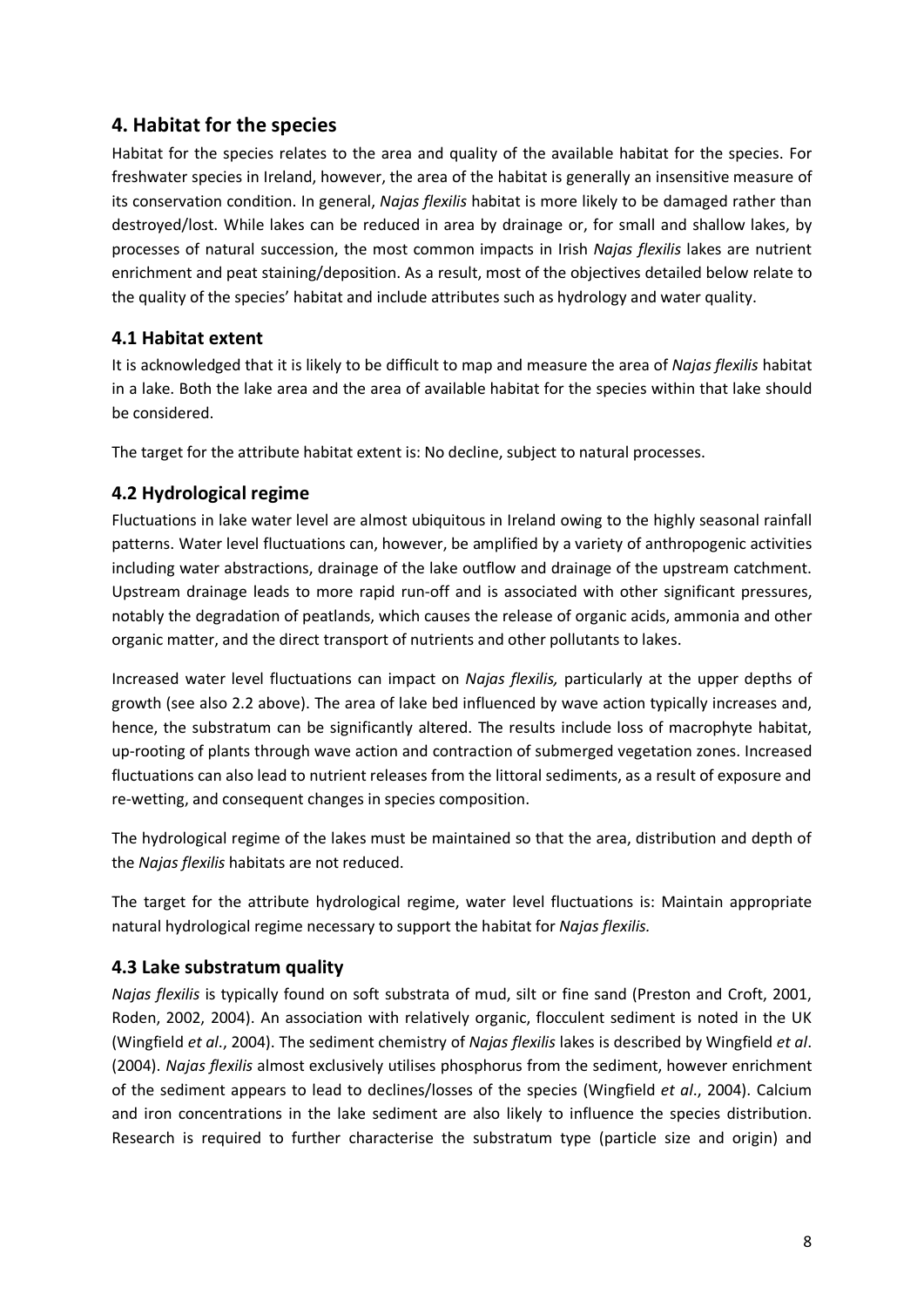# <span id="page-8-0"></span>**4. Habitat for the species**

Habitat for the species relates to the area and quality of the available habitat for the species. For freshwater species in Ireland, however, the area of the habitat is generally an insensitive measure of its conservation condition. In general, *Najas flexilis* habitat is more likely to be damaged rather than destroyed/lost. While lakes can be reduced in area by drainage or, for small and shallow lakes, by processes of natural succession, the most common impacts in Irish *Najas flexilis* lakes are nutrient enrichment and peat staining/deposition. As a result, most of the objectives detailed below relate to the quality of the species' habitat and include attributes such as hydrology and water quality.

# <span id="page-8-1"></span>**4.1 Habitat extent**

It is acknowledged that it is likely to be difficult to map and measure the area of *Najas flexilis* habitat in a lake. Both the lake area and the area of available habitat for the species within that lake should be considered.

The target for the attribute habitat extent is: No decline, subject to natural processes.

# <span id="page-8-2"></span>**4.2 Hydrological regime**

Fluctuations in lake water level are almost ubiquitous in Ireland owing to the highly seasonal rainfall patterns. Water level fluctuations can, however, be amplified by a variety of anthropogenic activities including water abstractions, drainage of the lake outflow and drainage of the upstream catchment. Upstream drainage leads to more rapid run-off and is associated with other significant pressures, notably the degradation of peatlands, which causes the release of organic acids, ammonia and other organic matter, and the direct transport of nutrients and other pollutants to lakes.

Increased water level fluctuations can impact on *Najas flexilis,* particularly at the upper depths of growth (see also 2.2 above). The area of lake bed influenced by wave action typically increases and, hence, the substratum can be significantly altered. The results include loss of macrophyte habitat, up-rooting of plants through wave action and contraction of submerged vegetation zones. Increased fluctuations can also lead to nutrient releases from the littoral sediments, as a result of exposure and re-wetting, and consequent changes in species composition.

The hydrological regime of the lakes must be maintained so that the area, distribution and depth of the *Najas flexilis* habitats are not reduced.

The target for the attribute hydrological regime, water level fluctuations is: Maintain appropriate natural hydrological regime necessary to support the habitat for *Najas flexilis.*

# <span id="page-8-3"></span>**4.3 Lake substratum quality**

*Najas flexilis* is typically found on soft substrata of mud, silt or fine sand (Preston and Croft, 2001, Roden, 2002, 2004). An association with relatively organic, flocculent sediment is noted in the UK (Wingfield *et al*., 2004). The sediment chemistry of *Najas flexilis* lakes is described by Wingfield *et al*. (2004). *Najas flexilis* almost exclusively utilises phosphorus from the sediment, however enrichment of the sediment appears to lead to declines/losses of the species (Wingfield *et al*., 2004). Calcium and iron concentrations in the lake sediment are also likely to influence the species distribution. Research is required to further characterise the substratum type (particle size and origin) and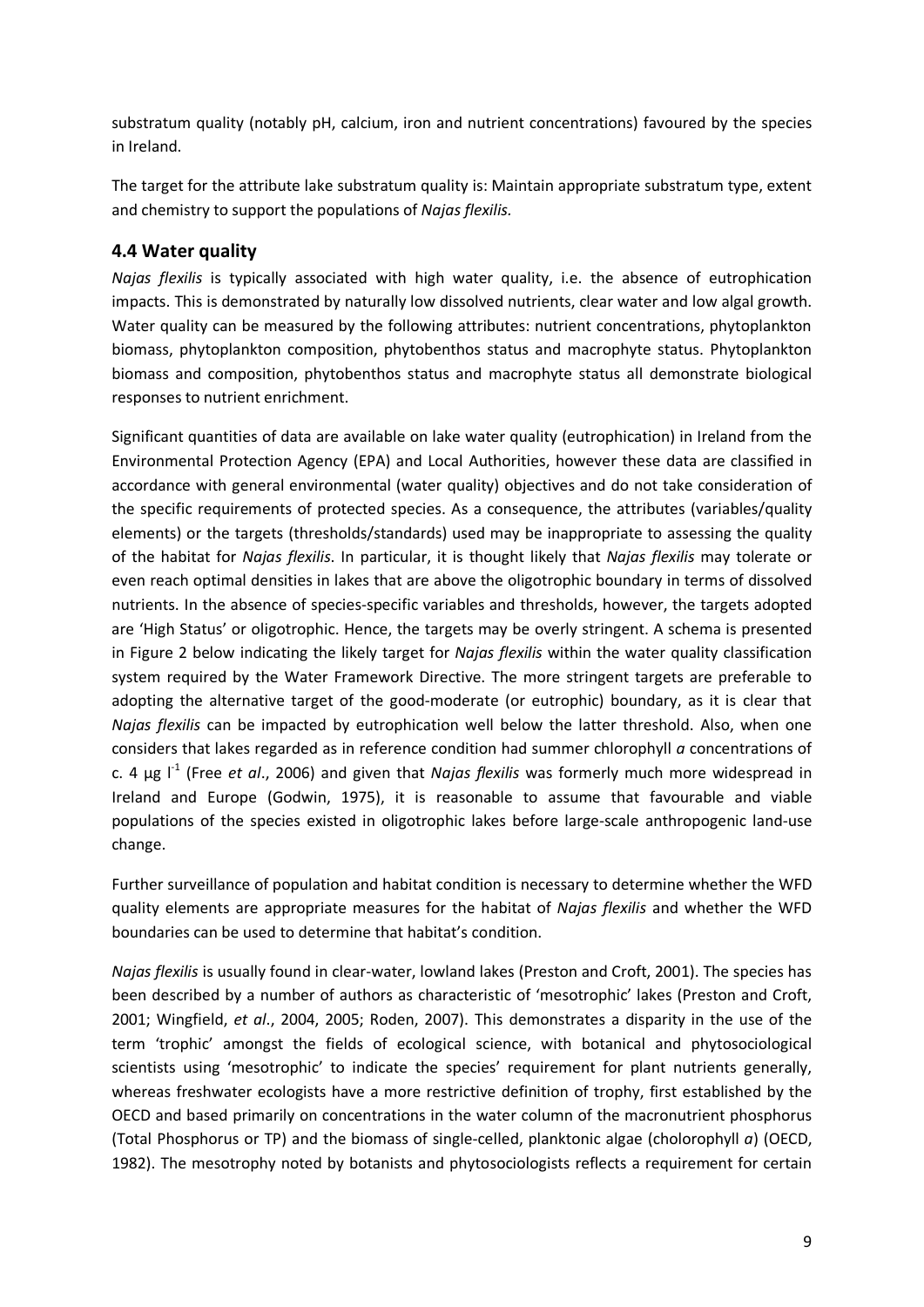substratum quality (notably pH, calcium, iron and nutrient concentrations) favoured by the species in Ireland.

The target for the attribute lake substratum quality is: Maintain appropriate substratum type, extent and chemistry to support the populations of *Najas flexilis.*

# <span id="page-9-0"></span>**4.4 Water quality**

*Najas flexilis* is typically associated with high water quality, i.e. the absence of eutrophication impacts. This is demonstrated by naturally low dissolved nutrients, clear water and low algal growth. Water quality can be measured by the following attributes: nutrient concentrations, phytoplankton biomass, phytoplankton composition, phytobenthos status and macrophyte status. Phytoplankton biomass and composition, phytobenthos status and macrophyte status all demonstrate biological responses to nutrient enrichment.

Significant quantities of data are available on lake water quality (eutrophication) in Ireland from the Environmental Protection Agency (EPA) and Local Authorities, however these data are classified in accordance with general environmental (water quality) objectives and do not take consideration of the specific requirements of protected species. As a consequence, the attributes (variables/quality elements) or the targets (thresholds/standards) used may be inappropriate to assessing the quality of the habitat for *Najas flexilis*. In particular, it is thought likely that *Najas flexilis* may tolerate or even reach optimal densities in lakes that are above the oligotrophic boundary in terms of dissolved nutrients. In the absence of species-specific variables and thresholds, however, the targets adopted are 'High Status' or oligotrophic. Hence, the targets may be overly stringent. A schema is presented in Figure 2 below indicating the likely target for *Najas flexilis* within the water quality classification system required by the Water Framework Directive. The more stringent targets are preferable to adopting the alternative target of the good-moderate (or eutrophic) boundary, as it is clear that *Najas flexilis* can be impacted by eutrophication well below the latter threshold. Also, when one considers that lakes regarded as in reference condition had summer chlorophyll *a* concentrations of c. 4 μg l-1 (Free *et al*., 2006) and given that *Najas flexilis* was formerly much more widespread in Ireland and Europe (Godwin, 1975), it is reasonable to assume that favourable and viable populations of the species existed in oligotrophic lakes before large-scale anthropogenic land-use change.

Further surveillance of population and habitat condition is necessary to determine whether the WFD quality elements are appropriate measures for the habitat of *Najas flexilis* and whether the WFD boundaries can be used to determine that habitat's condition.

*Najas flexilis* is usually found in clear-water, lowland lakes (Preston and Croft, 2001). The species has been described by a number of authors as characteristic of 'mesotrophic' lakes (Preston and Croft, 2001; Wingfield, *et al*., 2004, 2005; Roden, 2007). This demonstrates a disparity in the use of the term 'trophic' amongst the fields of ecological science, with botanical and phytosociological scientists using 'mesotrophic' to indicate the species' requirement for plant nutrients generally, whereas freshwater ecologists have a more restrictive definition of trophy, first established by the OECD and based primarily on concentrations in the water column of the macronutrient phosphorus (Total Phosphorus or TP) and the biomass of single-celled, planktonic algae (cholorophyll *a*) (OECD, 1982). The mesotrophy noted by botanists and phytosociologists reflects a requirement for certain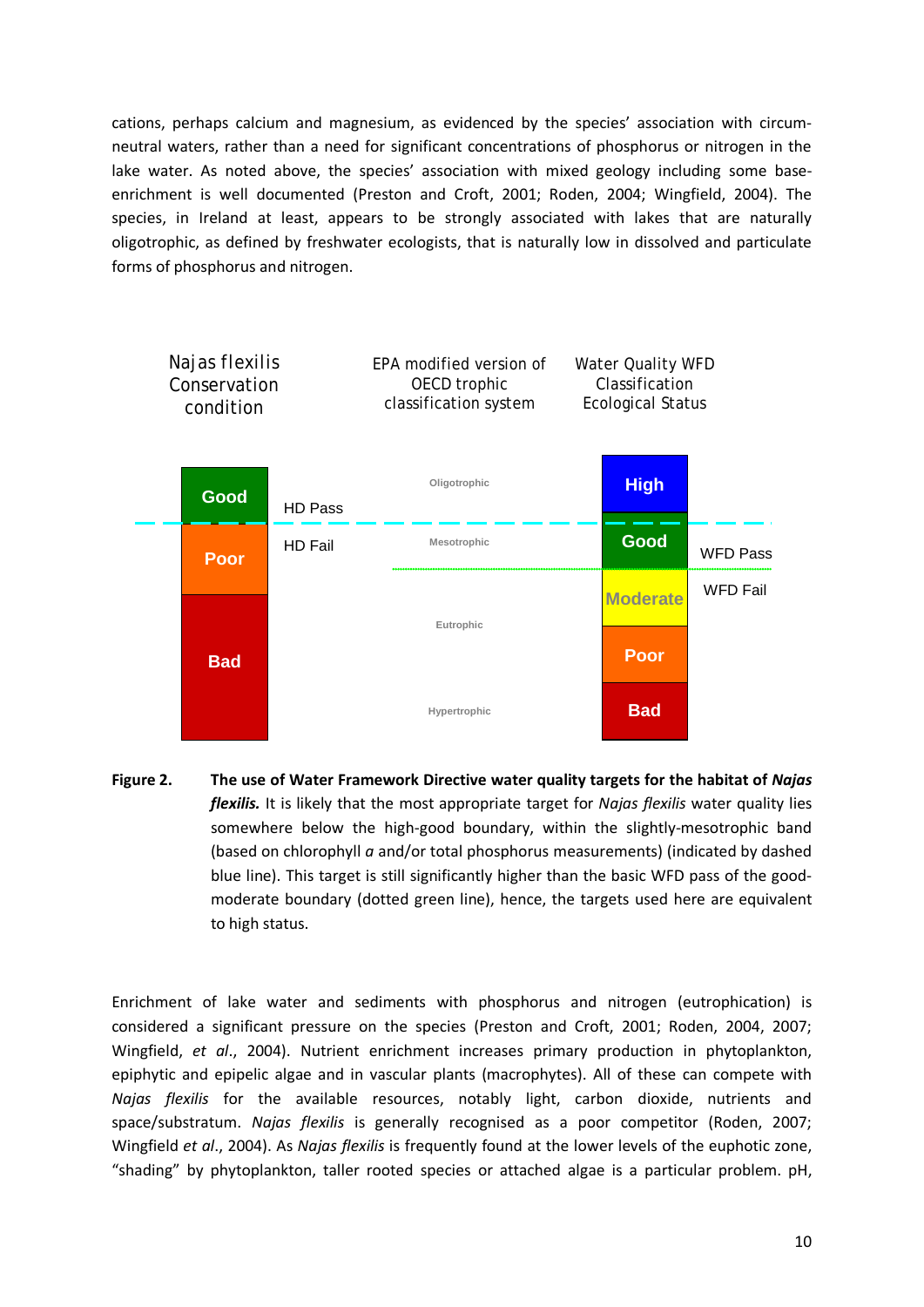cations, perhaps calcium and magnesium, as evidenced by the species' association with circumneutral waters, rather than a need for significant concentrations of phosphorus or nitrogen in the lake water. As noted above, the species' association with mixed geology including some baseenrichment is well documented (Preston and Croft, 2001; Roden, 2004; Wingfield, 2004). The species, in Ireland at least, appears to be strongly associated with lakes that are naturally oligotrophic, as defined by freshwater ecologists, that is naturally low in dissolved and particulate forms of phosphorus and nitrogen.



**Figure 2. The use of Water Framework Directive water quality targets for the habitat of** *Najas flexilis.* It is likely that the most appropriate target for *Najas flexilis* water quality lies somewhere below the high-good boundary, within the slightly-mesotrophic band (based on chlorophyll *a* and/or total phosphorus measurements) (indicated by dashed blue line). This target is still significantly higher than the basic WFD pass of the goodmoderate boundary (dotted green line), hence, the targets used here are equivalent to high status.

Enrichment of lake water and sediments with phosphorus and nitrogen (eutrophication) is considered a significant pressure on the species (Preston and Croft, 2001; Roden, 2004, 2007; Wingfield, *et al*., 2004). Nutrient enrichment increases primary production in phytoplankton, epiphytic and epipelic algae and in vascular plants (macrophytes). All of these can compete with *Najas flexilis* for the available resources, notably light, carbon dioxide, nutrients and space/substratum. *Najas flexilis* is generally recognised as a poor competitor (Roden, 2007; Wingfield *et al*., 2004). As *Najas flexilis* is frequently found at the lower levels of the euphotic zone, "shading" by phytoplankton, taller rooted species or attached algae is a particular problem. pH,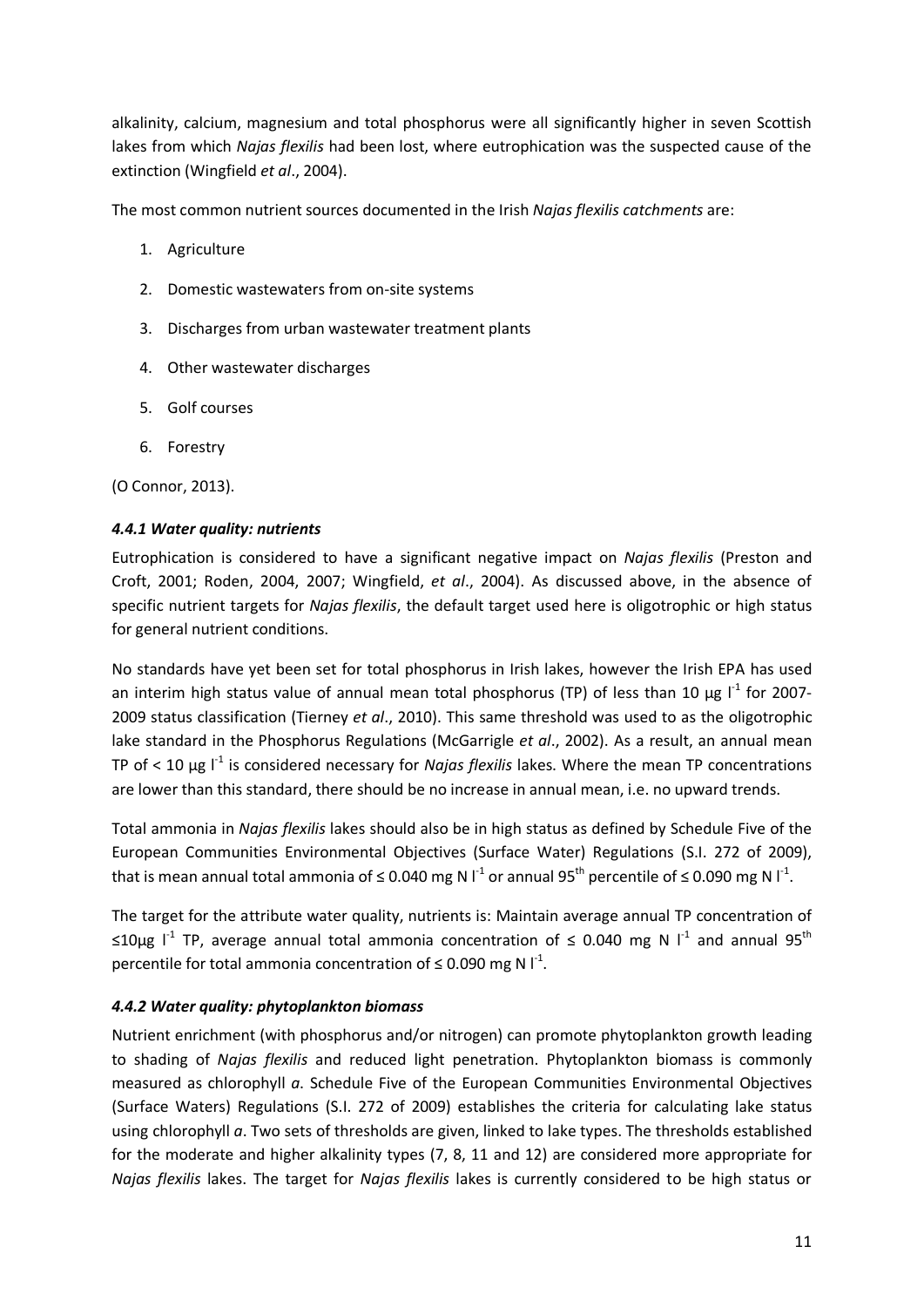alkalinity, calcium, magnesium and total phosphorus were all significantly higher in seven Scottish lakes from which *Najas flexilis* had been lost, where eutrophication was the suspected cause of the extinction (Wingfield *et al*., 2004).

The most common nutrient sources documented in the Irish *Najas flexilis catchments* are:

- 1. Agriculture
- 2. Domestic wastewaters from on-site systems
- 3. Discharges from urban wastewater treatment plants
- 4. Other wastewater discharges
- 5. Golf courses
- 6. Forestry

(O Connor, 2013).

#### <span id="page-11-0"></span>*4.4.1 Water quality: nutrients*

Eutrophication is considered to have a significant negative impact on *Najas flexilis* (Preston and Croft, 2001; Roden, 2004, 2007; Wingfield, *et al*., 2004). As discussed above, in the absence of specific nutrient targets for *Najas flexilis*, the default target used here is oligotrophic or high status for general nutrient conditions.

No standards have yet been set for total phosphorus in Irish lakes, however the Irish EPA has used an interim high status value of annual mean total phosphorus (TP) of less than 10  $\mu$ g l<sup>-1</sup> for 2007-2009 status classification (Tierney *et al*., 2010). This same threshold was used to as the oligotrophic lake standard in the Phosphorus Regulations (McGarrigle *et al*., 2002). As a result, an annual mean TP of < 10 μg l-1 is considered necessary for *Najas flexilis* lakes. Where the mean TP concentrations are lower than this standard, there should be no increase in annual mean, i.e. no upward trends.

Total ammonia in *Najas flexilis* lakes should also be in high status as defined by Schedule Five of the European Communities Environmental Objectives (Surface Water) Regulations (S.I. 272 of 2009), that is mean annual total ammonia of ≤ 0.040 mg N  $I^1$  or annual 95<sup>th</sup> percentile of ≤ 0.090 mg N  $I^1$ .

The target for the attribute water quality, nutrients is: Maintain average annual TP concentration of  $≤10μg$  I<sup>-1</sup> TP, average annual total ammonia concentration of  $≤$  0.040 mg N I<sup>-1</sup> and annual 95<sup>th</sup> percentile for total ammonia concentration of  $\leq$  0.090 mg N  $I^1$ .

#### <span id="page-11-1"></span>*4.4.2 Water quality: phytoplankton biomass*

Nutrient enrichment (with phosphorus and/or nitrogen) can promote phytoplankton growth leading to shading of *Najas flexilis* and reduced light penetration. Phytoplankton biomass is commonly measured as chlorophyll *a*. Schedule Five of the European Communities Environmental Objectives (Surface Waters) Regulations (S.I. 272 of 2009) establishes the criteria for calculating lake status using chlorophyll *a*. Two sets of thresholds are given, linked to lake types. The thresholds established for the moderate and higher alkalinity types (7, 8, 11 and 12) are considered more appropriate for *Najas flexilis* lakes. The target for *Najas flexilis* lakes is currently considered to be high status or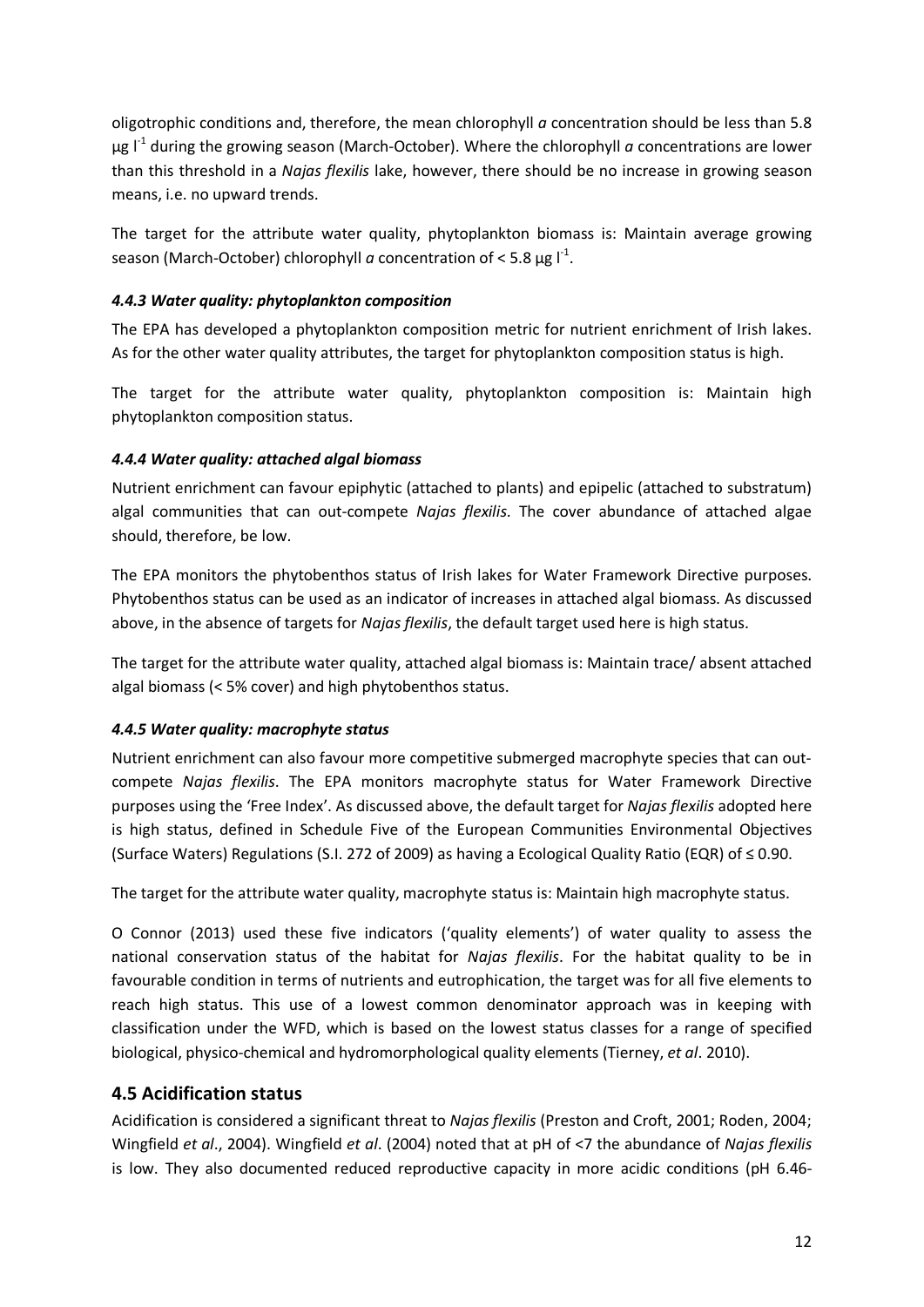oligotrophic conditions and, therefore, the mean chlorophyll *a* concentration should be less than 5.8 μg  $I<sup>1</sup>$  during the growing season (March-October). Where the chlorophyll *a* concentrations are lower than this threshold in a *Najas flexilis* lake, however, there should be no increase in growing season means, i.e. no upward trends.

The target for the attribute water quality, phytoplankton biomass is: Maintain average growing season (March-October) chlorophyll *a* concentration of < 5.8  $\mu$ g l<sup>-1</sup>.

#### <span id="page-12-0"></span>*4.4.3 Water quality: phytoplankton composition*

The EPA has developed a phytoplankton composition metric for nutrient enrichment of Irish lakes. As for the other water quality attributes, the target for phytoplankton composition status is high.

The target for the attribute water quality, phytoplankton composition is: Maintain high phytoplankton composition status.

#### <span id="page-12-1"></span>*4.4.4 Water quality: attached algal biomass*

Nutrient enrichment can favour epiphytic (attached to plants) and epipelic (attached to substratum) algal communities that can out-compete *Najas flexilis*. The cover abundance of attached algae should, therefore, be low.

The EPA monitors the phytobenthos status of Irish lakes for Water Framework Directive purposes. Phytobenthos status can be used as an indicator of increases in attached algal biomass. As discussed above, in the absence of targets for *Najas flexilis*, the default target used here is high status.

The target for the attribute water quality, attached algal biomass is: Maintain trace/ absent attached algal biomass (< 5% cover) and high phytobenthos status.

# <span id="page-12-2"></span>*4.4.5 Water quality: macrophyte status*

Nutrient enrichment can also favour more competitive submerged macrophyte species that can outcompete *Najas flexilis*. The EPA monitors macrophyte status for Water Framework Directive purposes using the 'Free Index'. As discussed above, the default target for *Najas flexilis* adopted here is high status, defined in Schedule Five of the European Communities Environmental Objectives (Surface Waters) Regulations (S.I. 272 of 2009) as having a Ecological Quality Ratio (EQR) of ≤ 0.90.

The target for the attribute water quality, macrophyte status is: Maintain high macrophyte status.

O Connor (2013) used these five indicators ('quality elements') of water quality to assess the national conservation status of the habitat for *Najas flexilis*. For the habitat quality to be in favourable condition in terms of nutrients and eutrophication, the target was for all five elements to reach high status. This use of a lowest common denominator approach was in keeping with classification under the WFD, which is based on the lowest status classes for a range of specified biological, physico-chemical and hydromorphological quality elements (Tierney, *et al*. 2010).

# <span id="page-12-3"></span>**4.5 Acidification status**

Acidification is considered a significant threat to *Najas flexilis* (Preston and Croft, 2001; Roden, 2004; Wingfield *et al*., 2004). Wingfield *et al*. (2004) noted that at pH of <7 the abundance of *Najas flexilis*  is low. They also documented reduced reproductive capacity in more acidic conditions (pH 6.46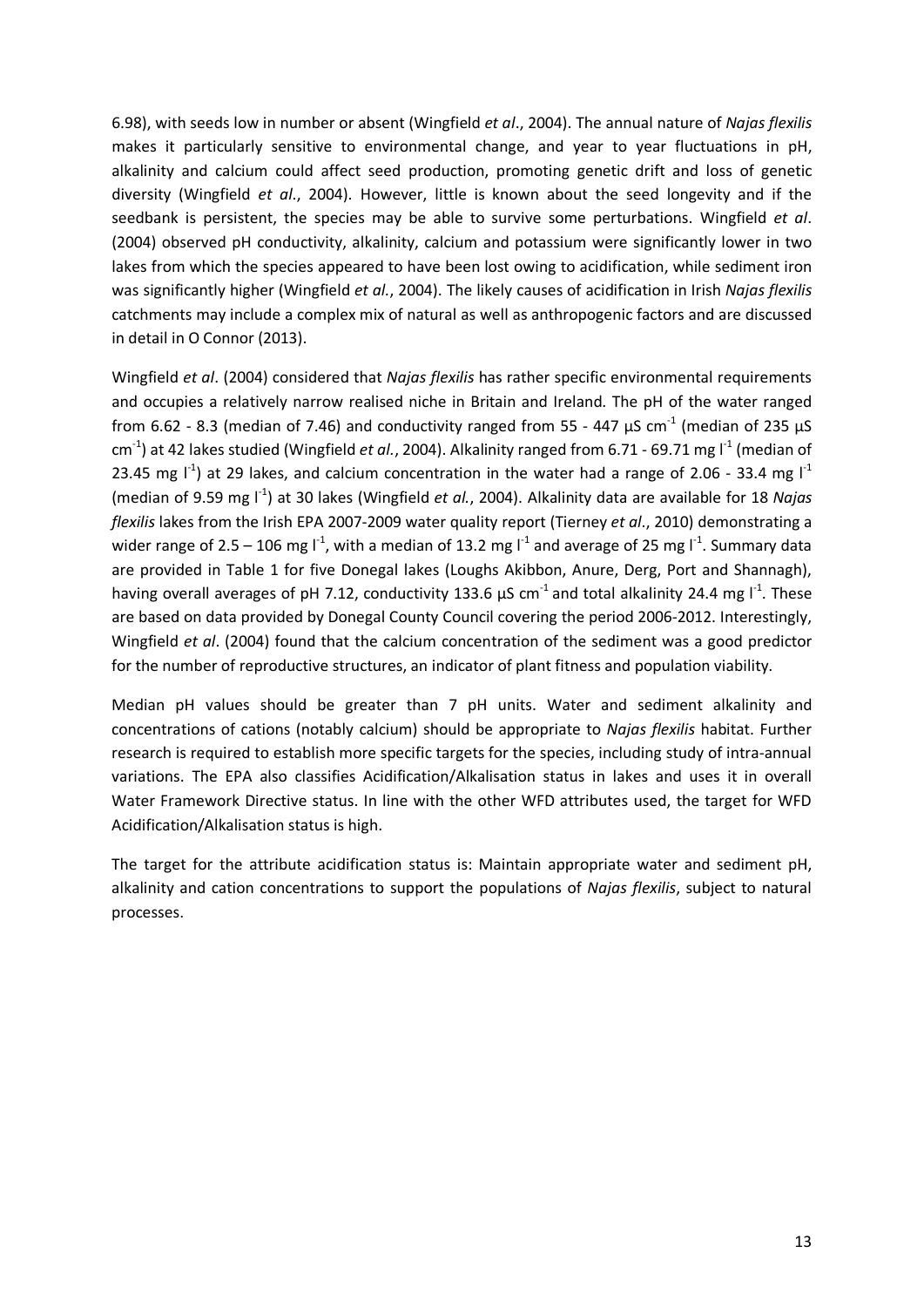6.98), with seeds low in number or absent (Wingfield *et al*., 2004). The annual nature of *Najas flexilis* makes it particularly sensitive to environmental change, and year to year fluctuations in pH, alkalinity and calcium could affect seed production, promoting genetic drift and loss of genetic diversity (Wingfield *et al*., 2004). However, little is known about the seed longevity and if the seedbank is persistent, the species may be able to survive some perturbations. Wingfield *et al*. (2004) observed pH conductivity, alkalinity, calcium and potassium were significantly lower in two lakes from which the species appeared to have been lost owing to acidification, while sediment iron was significantly higher (Wingfield *et al.*, 2004). The likely causes of acidification in Irish *Najas flexilis*  catchments may include a complex mix of natural as well as anthropogenic factors and are discussed in detail in O Connor (2013).

Wingfield *et al*. (2004) considered that *Najas flexilis* has rather specific environmental requirements and occupies a relatively narrow realised niche in Britain and Ireland. The pH of the water ranged from 6.62 - 8.3 (median of 7.46) and conductivity ranged from 55 - 447  $\mu$ S cm<sup>-1</sup> (median of 235  $\mu$ S cm<sup>-1</sup>) at 42 lakes studied (Wingfield *et al.*, 2004). Alkalinity ranged from 6.71 - 69.71 mg l<sup>-1</sup> (median of 23.45 mg  $I<sup>-1</sup>$ ) at 29 lakes, and calcium concentration in the water had a range of 2.06 - 33.4 mg  $I<sup>-1</sup>$ (median of 9.59 mg l<sup>-1</sup>) at 30 lakes (Wingfield *et al.*, 2004). Alkalinity data are available for 18 *Najas flexilis* lakes from the Irish EPA 2007-2009 water quality report (Tierney *et al*., 2010) demonstrating a wider range of 2.5 – 106 mg  $I^1$ , with a median of 13.2 mg  $I^1$  and average of 25 mg  $I^1$ . Summary data are provided in Table 1 for five Donegal lakes (Loughs Akibbon, Anure, Derg, Port and Shannagh), having overall averages of pH 7.12, conductivity 133.6  $\mu$ S cm<sup>-1</sup> and total alkalinity 24.4 mg l<sup>-1</sup>. These are based on data provided by Donegal County Council covering the period 2006-2012. Interestingly, Wingfield *et al*. (2004) found that the calcium concentration of the sediment was a good predictor for the number of reproductive structures, an indicator of plant fitness and population viability.

Median pH values should be greater than 7 pH units. Water and sediment alkalinity and concentrations of cations (notably calcium) should be appropriate to *Najas flexilis* habitat. Further research is required to establish more specific targets for the species, including study of intra-annual variations. The EPA also classifies Acidification/Alkalisation status in lakes and uses it in overall Water Framework Directive status. In line with the other WFD attributes used, the target for WFD Acidification/Alkalisation status is high.

The target for the attribute acidification status is: Maintain appropriate water and sediment pH, alkalinity and cation concentrations to support the populations of *Najas flexilis*, subject to natural processes.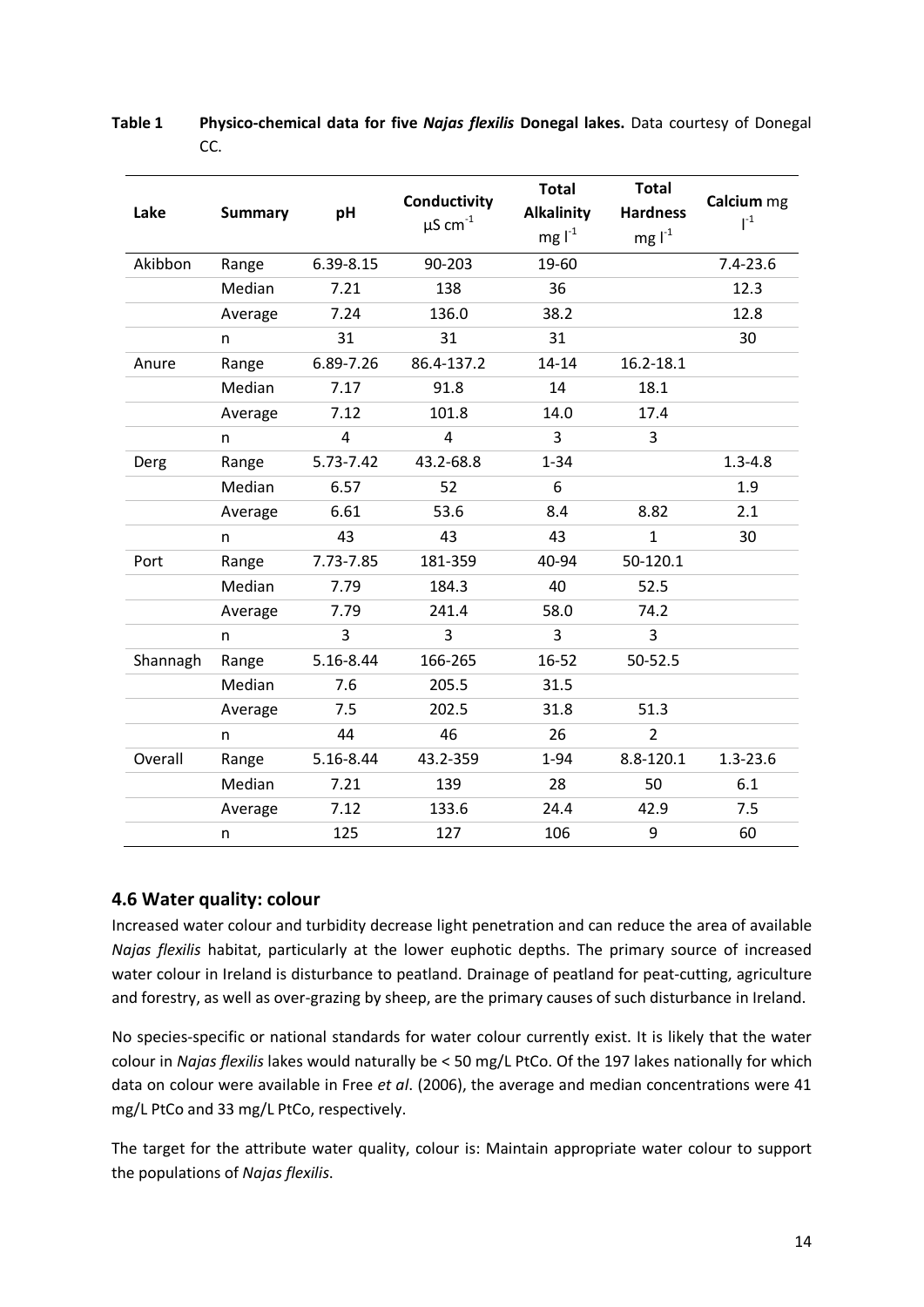| Lake     | <b>Summary</b> | pH             | Conductivity<br>$\mu$ S cm $^{-1}$ | <b>Total</b><br><b>Alkalinity</b><br>$mg I^{-1}$ | <b>Total</b><br><b>Hardness</b><br>$mgI^{-1}$ | Calcium <sub>mg</sub><br>$\mathsf{I}^{-1}$ |
|----------|----------------|----------------|------------------------------------|--------------------------------------------------|-----------------------------------------------|--------------------------------------------|
| Akibbon  | Range          | 6.39-8.15      | 90-203                             | 19-60                                            |                                               | $7.4 - 23.6$                               |
|          | Median         | 7.21           | 138                                | 36                                               |                                               | 12.3                                       |
|          | Average        | 7.24           | 136.0                              | 38.2                                             |                                               | 12.8                                       |
|          | n              | 31             | 31                                 | 31                                               |                                               | 30                                         |
| Anure    | Range          | 6.89-7.26      | 86.4-137.2                         | $14 - 14$                                        | 16.2-18.1                                     |                                            |
|          | Median         | 7.17           | 91.8                               | 14                                               | 18.1                                          |                                            |
|          | Average        | 7.12           | 101.8                              | 14.0                                             | 17.4                                          |                                            |
|          | n              | $\overline{4}$ | 4                                  | 3                                                | 3                                             |                                            |
| Derg     | Range          | 5.73-7.42      | 43.2-68.8                          | $1 - 34$                                         |                                               | $1.3 - 4.8$                                |
|          | Median         | 6.57           | 52                                 | 6                                                |                                               | 1.9                                        |
|          | Average        | 6.61           | 53.6                               | 8.4                                              | 8.82                                          | 2.1                                        |
|          | n              | 43             | 43                                 | 43                                               | $\mathbf{1}$                                  | 30                                         |
| Port     | Range          | 7.73-7.85      | 181-359                            | 40-94                                            | 50-120.1                                      |                                            |
|          | Median         | 7.79           | 184.3                              | 40                                               | 52.5                                          |                                            |
|          | Average        | 7.79           | 241.4                              | 58.0                                             | 74.2                                          |                                            |
|          | n              | $\overline{3}$ | 3                                  | 3                                                | $\overline{3}$                                |                                            |
| Shannagh | Range          | 5.16-8.44      | 166-265                            | 16-52                                            | 50-52.5                                       |                                            |
|          | Median         | 7.6            | 205.5                              | 31.5                                             |                                               |                                            |
|          | Average        | 7.5            | 202.5                              | 31.8                                             | 51.3                                          |                                            |
|          | n              | 44             | 46                                 | 26                                               | $\overline{2}$                                |                                            |
| Overall  | Range          | 5.16-8.44      | 43.2-359                           | $1 - 94$                                         | 8.8-120.1                                     | $1.3 - 23.6$                               |
|          | Median         | 7.21           | 139                                | 28                                               | 50                                            | 6.1                                        |
|          | Average        | 7.12           | 133.6                              | 24.4                                             | 42.9                                          | 7.5                                        |
|          | n              | 125            | 127                                | 106                                              | 9                                             | 60                                         |

# **Table 1 Physico-chemical data for five** *Najas flexilis* **Donegal lakes.** Data courtesy of Donegal CC.

# <span id="page-14-0"></span>**4.6 Water quality: colour**

Increased water colour and turbidity decrease light penetration and can reduce the area of available *Najas flexilis* habitat, particularly at the lower euphotic depths. The primary source of increased water colour in Ireland is disturbance to peatland. Drainage of peatland for peat-cutting, agriculture and forestry, as well as over-grazing by sheep, are the primary causes of such disturbance in Ireland.

No species-specific or national standards for water colour currently exist. It is likely that the water colour in *Najas flexilis* lakes would naturally be < 50 mg/L PtCo. Of the 197 lakes nationally for which data on colour were available in Free *et al*. (2006), the average and median concentrations were 41 mg/L PtCo and 33 mg/L PtCo, respectively.

The target for the attribute water quality, colour is: Maintain appropriate water colour to support the populations of *Najas flexilis*.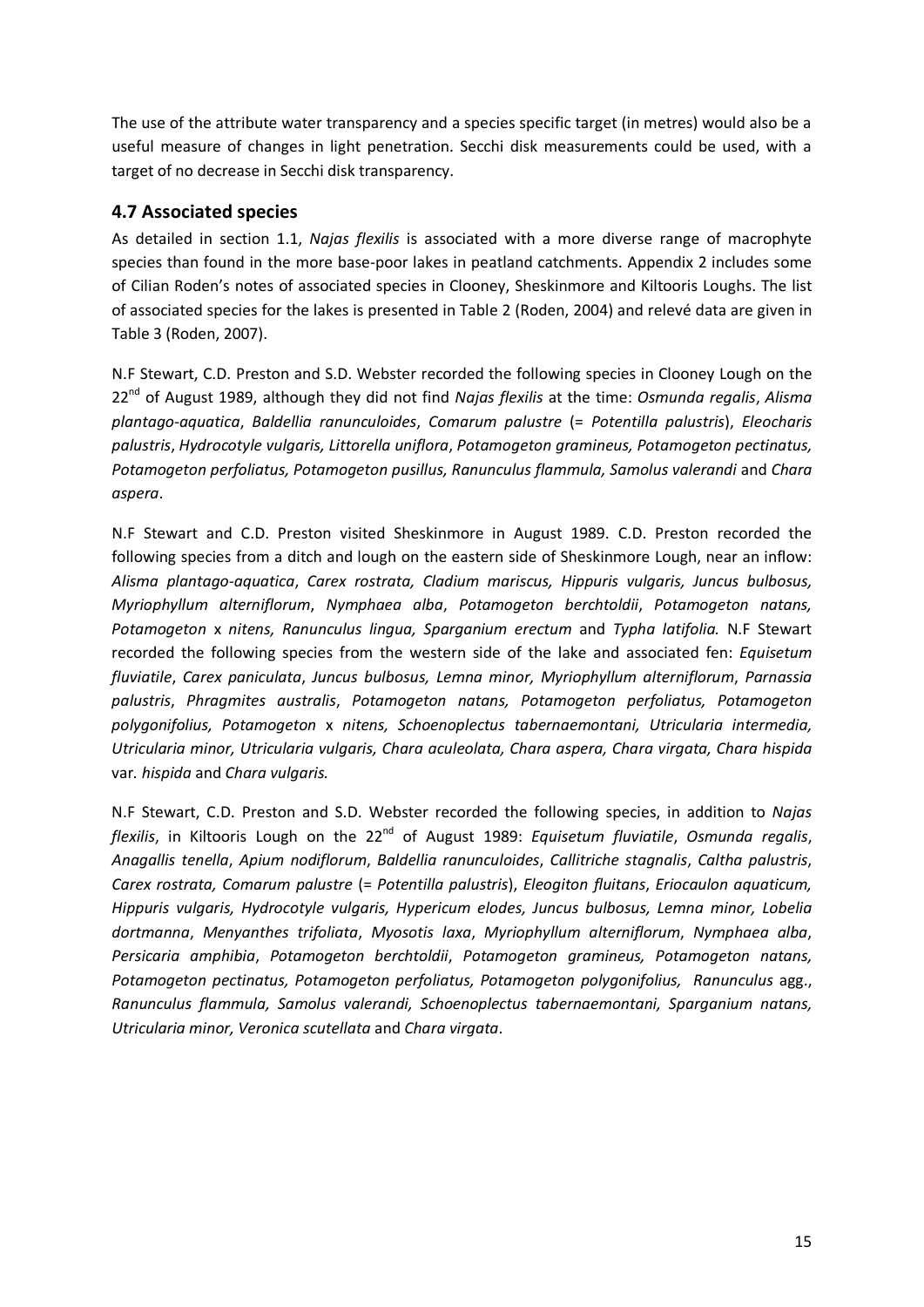The use of the attribute water transparency and a species specific target (in metres) would also be a useful measure of changes in light penetration. Secchi disk measurements could be used, with a target of no decrease in Secchi disk transparency.

# <span id="page-15-0"></span>**4.7 Associated species**

As detailed in section 1.1, *Najas flexilis* is associated with a more diverse range of macrophyte species than found in the more base-poor lakes in peatland catchments. Appendix 2 includes some of Cilian Roden's notes of associated species in Clooney, Sheskinmore and Kiltooris Loughs. The list of associated species for the lakes is presented in Table 2 (Roden, 2004) and relevé data are given in Table 3 (Roden, 2007).

N.F Stewart, C.D. Preston and S.D. Webster recorded the following species in Clooney Lough on the 22nd of August 1989, although they did not find *Najas flexilis* at the time: *Osmunda regalis*, *Alisma plantago-aquatica*, *Baldellia ranunculoides*, *Comarum palustre* (= *Potentilla palustris*), *Eleocharis palustris*, *Hydrocotyle vulgaris, Littorella uniflora*, *Potamogeton gramineus, Potamogeton pectinatus, Potamogeton perfoliatus, Potamogeton pusillus, Ranunculus flammula, Samolus valerandi* and *Chara aspera*.

N.F Stewart and C.D. Preston visited Sheskinmore in August 1989. C.D. Preston recorded the following species from a ditch and lough on the eastern side of Sheskinmore Lough, near an inflow: *Alisma plantago-aquatica*, *Carex rostrata, Cladium mariscus, Hippuris vulgaris, Juncus bulbosus, Myriophyllum alterniflorum*, *Nymphaea alba*, *Potamogeton berchtoldii*, *Potamogeton natans, Potamogeton* x *nitens, Ranunculus lingua, Sparganium erectum* and *Typha latifolia.* N.F Stewart recorded the following species from the western side of the lake and associated fen: *Equisetum fluviatile*, *Carex paniculata*, *Juncus bulbosus, Lemna minor, Myriophyllum alterniflorum*, *Parnassia palustris*, *Phragmites australis*, *Potamogeton natans, Potamogeton perfoliatus, Potamogeton polygonifolius, Potamogeton* x *nitens, Schoenoplectus tabernaemontani, Utricularia intermedia, Utricularia minor, Utricularia vulgaris, Chara aculeolata, Chara aspera, Chara virgata, Chara hispida*  var*. hispida* and *Chara vulgaris.*

N.F Stewart, C.D. Preston and S.D. Webster recorded the following species, in addition to *Najas flexilis*, in Kiltooris Lough on the 22nd of August 1989: *Equisetum fluviatile*, *Osmunda regalis*, *Anagallis tenella*, *Apium nodiflorum*, *Baldellia ranunculoides*, *Callitriche stagnalis*, *Caltha palustris*, *Carex rostrata, Comarum palustre* (= *Potentilla palustris*), *Eleogiton fluitans*, *Eriocaulon aquaticum, Hippuris vulgaris, Hydrocotyle vulgaris, Hypericum elodes, Juncus bulbosus, Lemna minor, Lobelia dortmanna*, *Menyanthes trifoliata*, *Myosotis laxa*, *Myriophyllum alterniflorum*, *Nymphaea alba*, *Persicaria amphibia*, *Potamogeton berchtoldii*, *Potamogeton gramineus, Potamogeton natans, Potamogeton pectinatus, Potamogeton perfoliatus, Potamogeton polygonifolius, Ranunculus* agg., *Ranunculus flammula, Samolus valerandi, Schoenoplectus tabernaemontani, Sparganium natans, Utricularia minor, Veronica scutellata* and *Chara virgata*.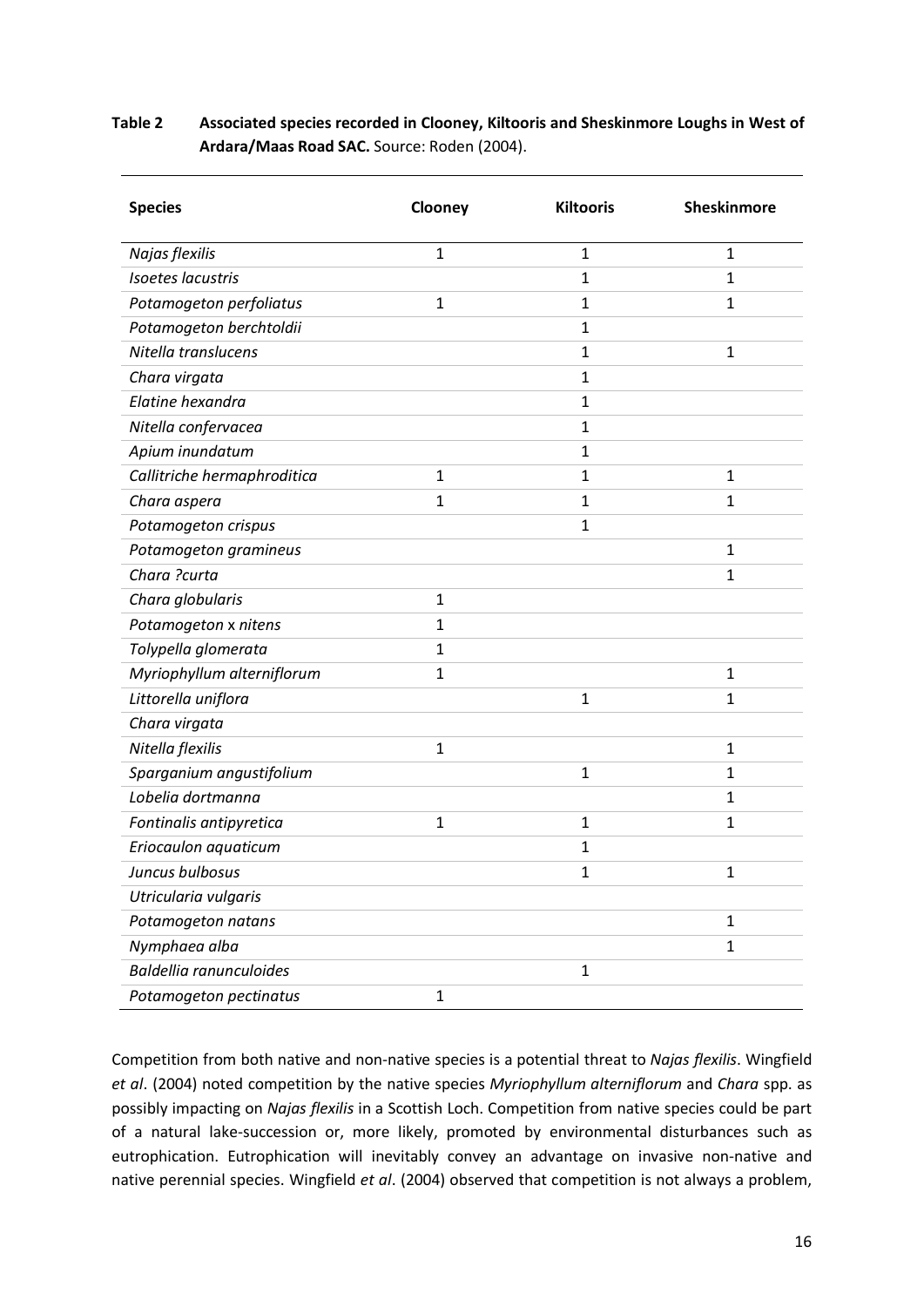# **Table 2 Associated species recorded in Clooney, Kiltooris and Sheskinmore Loughs in West of Ardara/Maas Road SAC.** Source: Roden (2004).

| <b>Species</b>                 | Clooney      | <b>Kiltooris</b> | <b>Sheskinmore</b> |
|--------------------------------|--------------|------------------|--------------------|
| Najas flexilis                 | $\mathbf{1}$ | $\mathbf{1}$     | $\mathbf{1}$       |
| <b>Isoetes lacustris</b>       |              | $\mathbf{1}$     | 1                  |
| Potamogeton perfoliatus        | $\mathbf{1}$ | 1                | 1                  |
| Potamogeton berchtoldii        |              | 1                |                    |
| Nitella translucens            |              | $\mathbf{1}$     | $\mathbf{1}$       |
| Chara virgata                  |              | $\mathbf{1}$     |                    |
| Elatine hexandra               |              | 1                |                    |
| Nitella confervacea            |              | 1                |                    |
| Apium inundatum                |              | 1                |                    |
| Callitriche hermaphroditica    | $\mathbf{1}$ | 1                | $\mathbf{1}$       |
| Chara aspera                   | 1            | 1                | $\mathbf{1}$       |
| Potamogeton crispus            |              | 1                |                    |
| Potamogeton gramineus          |              |                  | $\mathbf{1}$       |
| Chara ?curta                   |              |                  | $\mathbf{1}$       |
| Chara globularis               | $\mathbf{1}$ |                  |                    |
| Potamogeton x nitens           | $\mathbf{1}$ |                  |                    |
| Tolypella glomerata            | 1            |                  |                    |
| Myriophyllum alterniflorum     | $\mathbf{1}$ |                  | 1                  |
| Littorella uniflora            |              | 1                | 1                  |
| Chara virgata                  |              |                  |                    |
| Nitella flexilis               | $\mathbf{1}$ |                  | $\mathbf{1}$       |
| Sparganium angustifolium       |              | $\mathbf 1$      | 1                  |
| Lobelia dortmanna              |              |                  | $\mathbf{1}$       |
| Fontinalis antipyretica        | $\mathbf{1}$ | 1                | 1                  |
| Eriocaulon aquaticum           |              | 1                |                    |
| Juncus bulbosus                |              | 1                | 1                  |
| Utricularia vulgaris           |              |                  |                    |
| Potamogeton natans             |              |                  | $\mathbf{1}$       |
| Nymphaea alba                  |              |                  | $\mathbf{1}$       |
| <b>Baldellia ranunculoides</b> |              | $\mathbf{1}$     |                    |
| Potamogeton pectinatus         | $\mathbf{1}$ |                  |                    |

Competition from both native and non-native species is a potential threat to *Najas flexilis*. Wingfield *et al*. (2004) noted competition by the native species *Myriophyllum alterniflorum* and *Chara* spp. as possibly impacting on *Najas flexilis* in a Scottish Loch. Competition from native species could be part of a natural lake-succession or, more likely, promoted by environmental disturbances such as eutrophication. Eutrophication will inevitably convey an advantage on invasive non-native and native perennial species. Wingfield *et al*. (2004) observed that competition is not always a problem,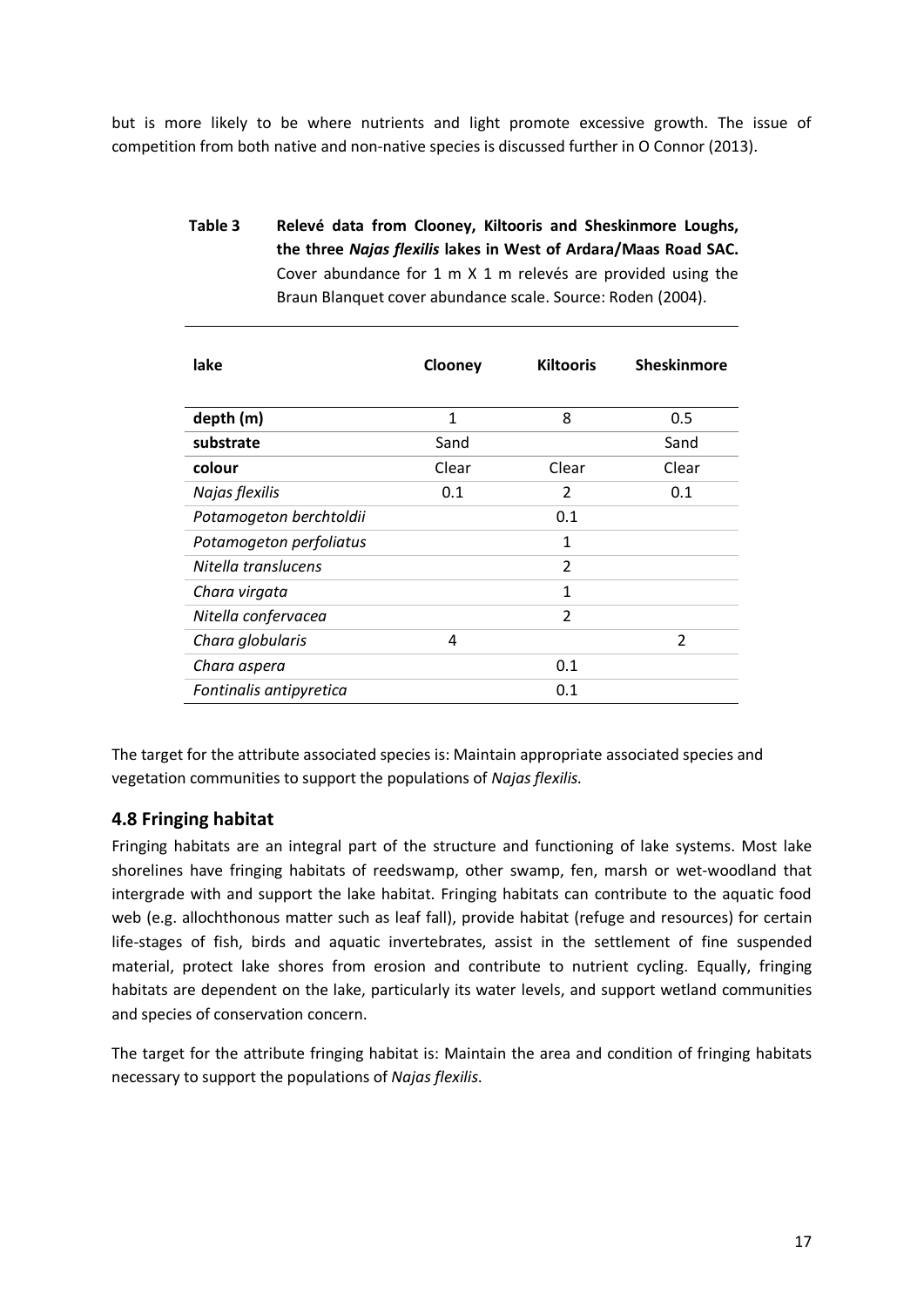but is more likely to be where nutrients and light promote excessive growth. The issue of competition from both native and non-native species is discussed further in O Connor (2013).

| Table 3 | Relevé data from Clooney, Kiltooris and Sheskinmore Loughs,     |
|---------|-----------------------------------------------------------------|
|         | the three Najas flexilis lakes in West of Ardara/Maas Road SAC. |
|         | Cover abundance for 1 m X 1 m relevés are provided using the    |
|         | Braun Blanquet cover abundance scale. Source: Roden (2004).     |

| lake                    | Clooney | <b>Kiltooris</b> | <b>Sheskinmore</b> |
|-------------------------|---------|------------------|--------------------|
| depth (m)               | 1       | 8                | 0.5                |
| substrate               | Sand    |                  | Sand               |
| colour                  | Clear   | Clear            | Clear              |
| Najas flexilis          | 0.1     | 2                | 0.1                |
| Potamogeton berchtoldii |         | 0.1              |                    |
| Potamogeton perfoliatus |         | 1                |                    |
| Nitella translucens     |         | $\overline{2}$   |                    |
| Chara virgata           |         | 1                |                    |
| Nitella confervacea     |         | $\overline{2}$   |                    |
| Chara globularis        | 4       |                  | 2                  |
| Chara aspera            |         | 0.1              |                    |
| Fontinalis antipyretica |         | 0.1              |                    |

The target for the attribute associated species is: Maintain appropriate associated species and vegetation communities to support the populations of *Najas flexilis.*

# <span id="page-17-0"></span>**4.8 Fringing habitat**

Fringing habitats are an integral part of the structure and functioning of lake systems. Most lake shorelines have fringing habitats of reedswamp, other swamp, fen, marsh or wet-woodland that intergrade with and support the lake habitat. Fringing habitats can contribute to the aquatic food web (e.g. allochthonous matter such as leaf fall), provide habitat (refuge and resources) for certain life-stages of fish, birds and aquatic invertebrates, assist in the settlement of fine suspended material, protect lake shores from erosion and contribute to nutrient cycling. Equally, fringing habitats are dependent on the lake, particularly its water levels, and support wetland communities and species of conservation concern.

The target for the attribute fringing habitat is: Maintain the area and condition of fringing habitats necessary to support the populations of *Najas flexilis*.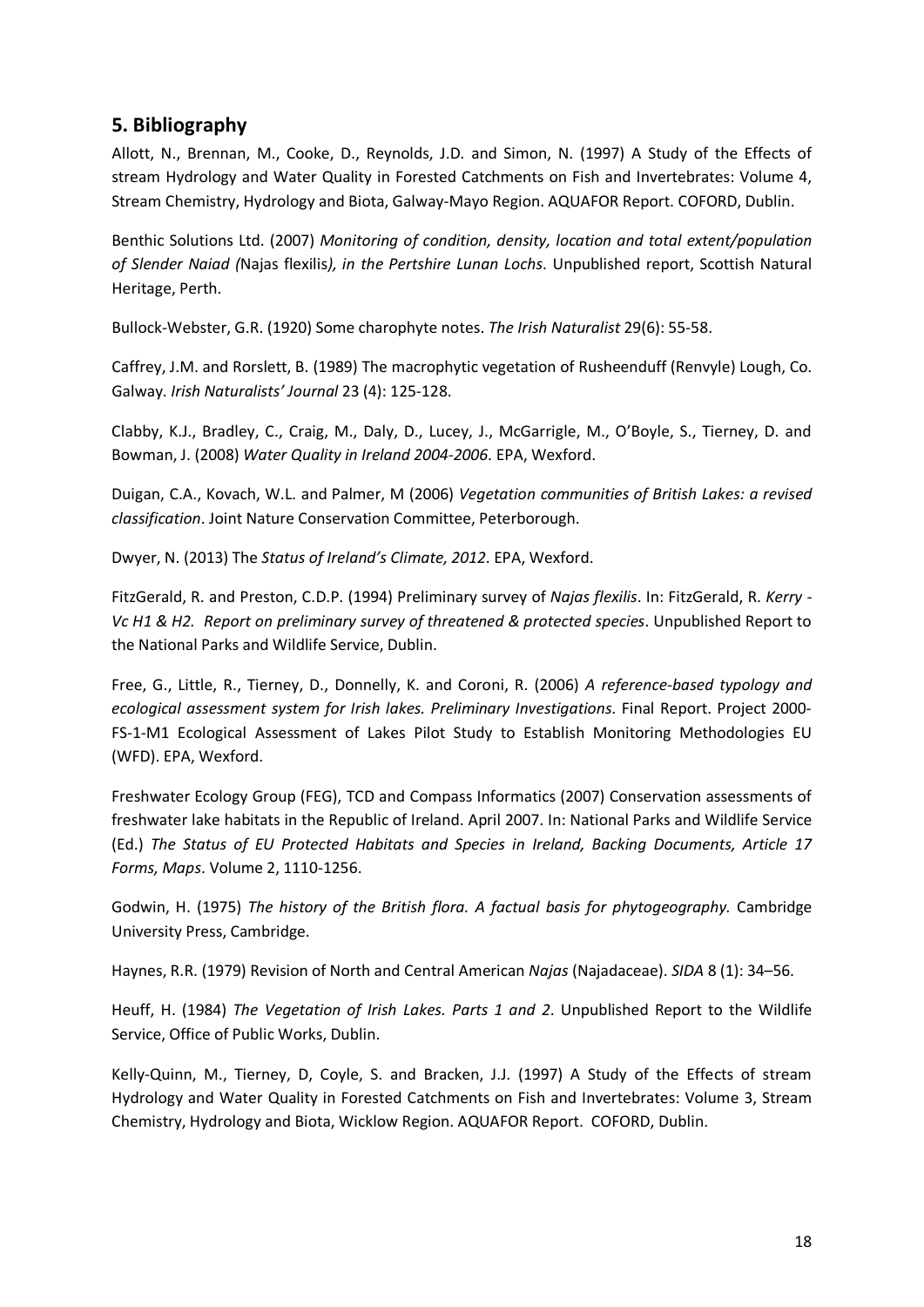# <span id="page-18-0"></span>**5. Bibliography**

Allott, N., Brennan, M., Cooke, D., Reynolds, J.D. and Simon, N. (1997) A Study of the Effects of stream Hydrology and Water Quality in Forested Catchments on Fish and Invertebrates: Volume 4, Stream Chemistry, Hydrology and Biota, Galway-Mayo Region. AQUAFOR Report. COFORD, Dublin.

Benthic Solutions Ltd. (2007) *Monitoring of condition, density, location and total extent/population of Slender Naiad (*Najas flexilis*), in the Pertshire Lunan Lochs*. Unpublished report, Scottish Natural Heritage, Perth.

Bullock-Webster, G.R. (1920) Some charophyte notes. *The Irish Naturalist* 29(6): 55-58.

Caffrey, J.M. and Rorslett, B. (1989) The macrophytic vegetation of Rusheenduff (Renvyle) Lough, Co. Galway. *Irish Naturalists' Journal* 23 (4): 125-128.

Clabby, K.J., Bradley, C., Craig, M., Daly, D., Lucey, J., McGarrigle, M., O'Boyle, S., Tierney, D. and Bowman, J. (2008) *Water Quality in Ireland 2004-2006*. EPA, Wexford.

Duigan, C.A., Kovach, W.L. and Palmer, M (2006) *Vegetation communities of British Lakes: a revised classification*. Joint Nature Conservation Committee, Peterborough.

Dwyer, N. (2013) The *Status of Ireland's Climate, 2012*. EPA, Wexford.

FitzGerald, R. and Preston, C.D.P. (1994) Preliminary survey of *Najas flexilis*. In: FitzGerald, R. *Kerry - Vc H1 & H2. Report on preliminary survey of threatened & protected species*. Unpublished Report to the National Parks and Wildlife Service, Dublin.

Free, G., Little, R., Tierney, D., Donnelly, K. and Coroni, R. (2006) *A reference-based typology and ecological assessment system for Irish lakes. Preliminary Investigations*. Final Report. Project 2000- FS-1-M1 Ecological Assessment of Lakes Pilot Study to Establish Monitoring Methodologies EU (WFD). EPA, Wexford.

Freshwater Ecology Group (FEG), TCD and Compass Informatics (2007) Conservation assessments of freshwater lake habitats in the Republic of Ireland. April 2007. In: National Parks and Wildlife Service (Ed.) *The Status of EU Protected Habitats and Species in Ireland, Backing Documents, Article 17 Forms, Maps*. Volume 2, 1110-1256.

Godwin, H. (1975) *The history of the British flora. A factual basis for phytogeography.* Cambridge University Press, Cambridge.

Haynes, R.R. (1979) Revision of North and Central American *Najas* (Najadaceae). *SIDA* 8 (1): 34–56.

Heuff, H. (1984) *The Vegetation of Irish Lakes. Parts 1 and 2*. Unpublished Report to the Wildlife Service, Office of Public Works, Dublin.

Kelly-Quinn, M., Tierney, D, Coyle, S. and Bracken, J.J. (1997) A Study of the Effects of stream Hydrology and Water Quality in Forested Catchments on Fish and Invertebrates: Volume 3, Stream Chemistry, Hydrology and Biota, Wicklow Region. AQUAFOR Report. COFORD, Dublin.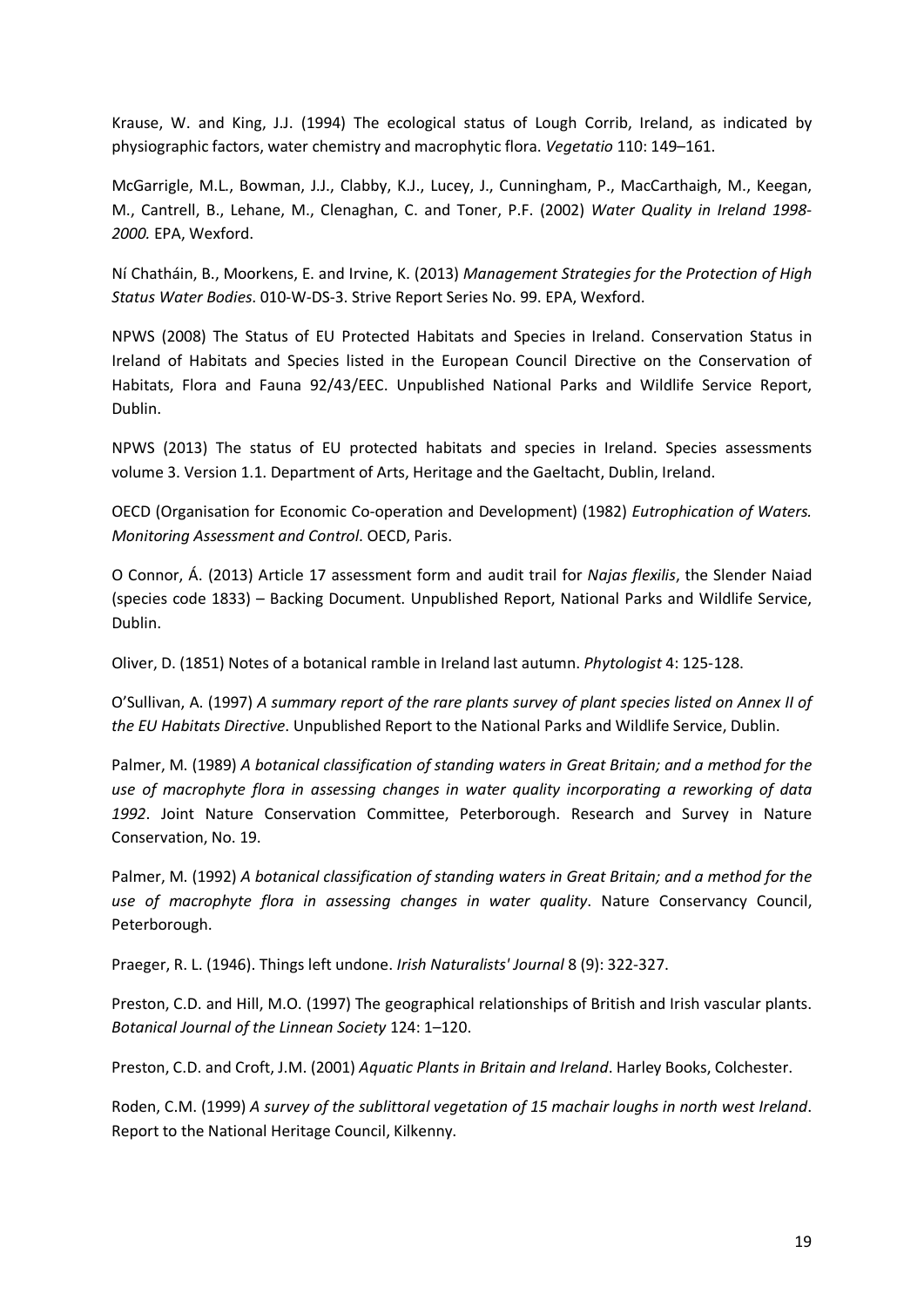Krause, W. and King, J.J. (1994) The ecological status of Lough Corrib, Ireland, as indicated by physiographic factors, water chemistry and macrophytic flora. *Vegetatio* 110: 149–161.

McGarrigle, M.L., Bowman, J.J., Clabby, K.J., Lucey, J., Cunningham, P., MacCarthaigh, M., Keegan, M., Cantrell, B., Lehane, M., Clenaghan, C. and Toner, P.F. (2002) *Water Quality in Ireland 1998- 2000.* EPA, Wexford.

Ní Chatháin, B., Moorkens, E. and Irvine, K. (2013) *Management Strategies for the Protection of High Status Water Bodies*. 010-W-DS-3. Strive Report Series No. 99. EPA, Wexford.

NPWS (2008) The Status of EU Protected Habitats and Species in Ireland. Conservation Status in Ireland of Habitats and Species listed in the European Council Directive on the Conservation of Habitats, Flora and Fauna 92/43/EEC. Unpublished National Parks and Wildlife Service Report, Dublin.

NPWS (2013) The status of EU protected habitats and species in Ireland. Species assessments volume 3. Version 1.1. Department of Arts, Heritage and the Gaeltacht, Dublin, Ireland.

OECD (Organisation for Economic Co-operation and Development) (1982) *Eutrophication of Waters. Monitoring Assessment and Control*. OECD, Paris.

O Connor, Á. (2013) Article 17 assessment form and audit trail for *Najas flexilis*, the Slender Naiad (species code 1833) – Backing Document. Unpublished Report, National Parks and Wildlife Service, Dublin.

Oliver, D. (1851) Notes of a botanical ramble in Ireland last autumn. *Phytologist* 4: 125-128.

O'Sullivan, A. (1997) *A summary report of the rare plants survey of plant species listed on Annex II of the EU Habitats Directive*. Unpublished Report to the National Parks and Wildlife Service, Dublin.

Palmer, M. (1989) *A botanical classification of standing waters in Great Britain; and a method for the use of macrophyte flora in assessing changes in water quality incorporating a reworking of data 1992*. Joint Nature Conservation Committee, Peterborough. Research and Survey in Nature Conservation, No. 19.

Palmer, M. (1992) *A botanical classification of standing waters in Great Britain; and a method for the use of macrophyte flora in assessing changes in water quality*. Nature Conservancy Council, Peterborough.

Praeger, R. L. (1946). Things left undone. *Irish Naturalists' Journal* 8 (9): 322-327.

Preston, C.D. and Hill, M.O. (1997) The geographical relationships of British and Irish vascular plants. *Botanical Journal of the Linnean Society* 124: 1–120.

Preston, C.D. and Croft, J.M. (2001) *Aquatic Plants in Britain and Ireland*. Harley Books, Colchester.

Roden, C.M. (1999) *A survey of the sublittoral vegetation of 15 machair loughs in north west Ireland*. Report to the National Heritage Council, Kilkenny.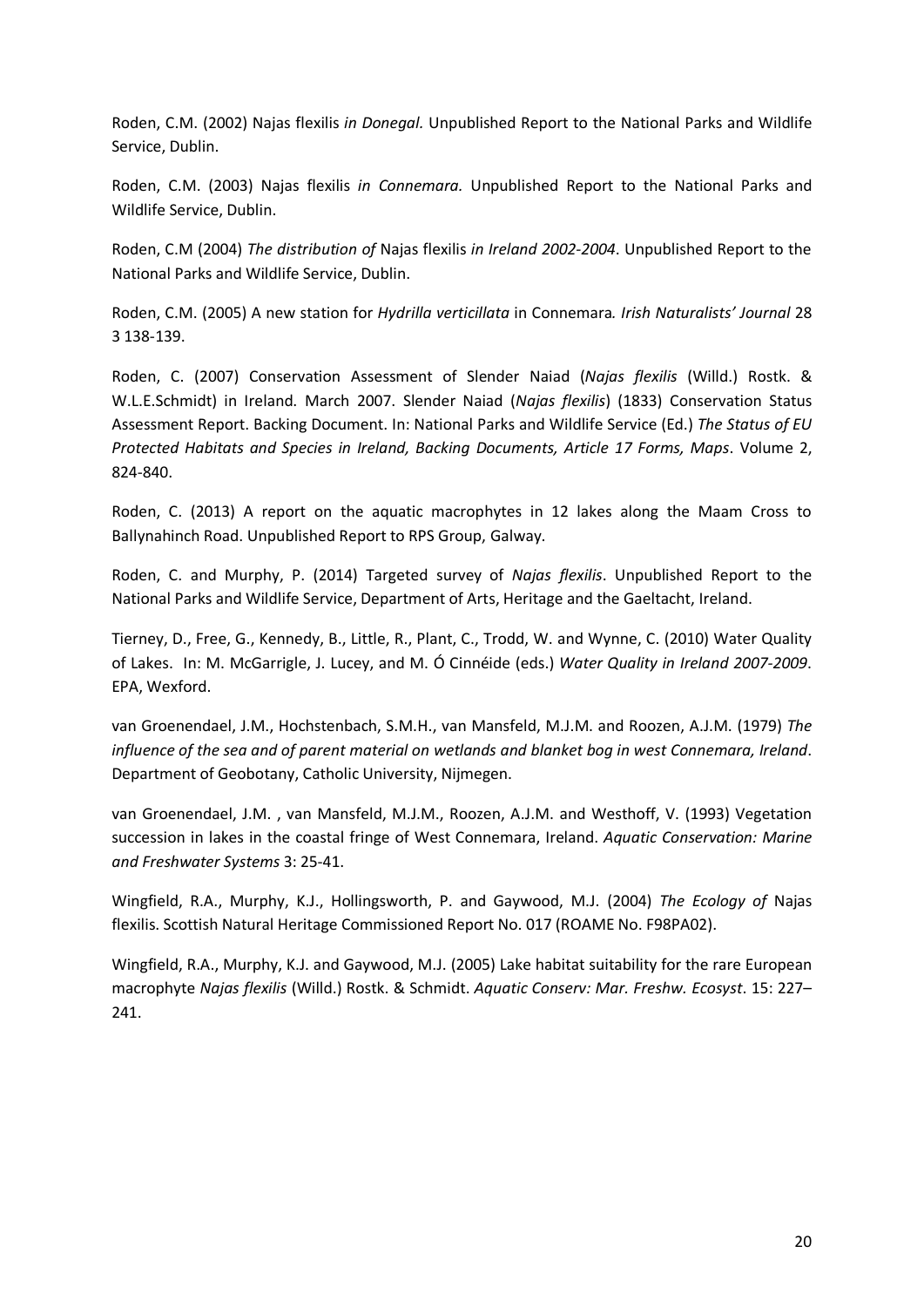Roden, C.M. (2002) Najas flexilis *in Donegal.* Unpublished Report to the National Parks and Wildlife Service, Dublin.

Roden, C.M. (2003) Najas flexilis *in Connemara.* Unpublished Report to the National Parks and Wildlife Service, Dublin.

Roden, C.M (2004) *The distribution of* Najas flexilis *in Ireland 2002-2004*. Unpublished Report to the National Parks and Wildlife Service, Dublin.

Roden, C.M. (2005) A new station for *Hydrilla verticillata* in Connemara*. Irish Naturalists' Journal* 28 3 138-139.

Roden, C. (2007) Conservation Assessment of Slender Naiad (*Najas flexilis* (Willd.) Rostk. & W.L.E.Schmidt) in Ireland. March 2007. Slender Naiad (*Najas flexilis*) (1833) Conservation Status Assessment Report. Backing Document. In: National Parks and Wildlife Service (Ed.) *The Status of EU Protected Habitats and Species in Ireland, Backing Documents, Article 17 Forms, Maps*. Volume 2, 824-840.

Roden, C. (2013) A report on the aquatic macrophytes in 12 lakes along the Maam Cross to Ballynahinch Road. Unpublished Report to RPS Group, Galway.

Roden, C. and Murphy, P. (2014) Targeted survey of *Najas flexilis*. Unpublished Report to the National Parks and Wildlife Service, Department of Arts, Heritage and the Gaeltacht, Ireland.

Tierney, D., Free, G., Kennedy, B., Little, R., Plant, C., Trodd, W. and Wynne, C. (2010) Water Quality of Lakes. In: M. McGarrigle, J. Lucey, and M. Ó Cinnéide (eds.) *Water Quality in Ireland 2007-2009*. EPA, Wexford.

van Groenendael, J.M., Hochstenbach, S.M.H., van Mansfeld, M.J.M. and Roozen, A.J.M. (1979) *The influence of the sea and of parent material on wetlands and blanket bog in west Connemara, Ireland*. Department of Geobotany, Catholic University, Nijmegen.

van Groenendael, J.M. , van Mansfeld, M.J.M., Roozen, A.J.M. and Westhoff, V. (1993) Vegetation succession in lakes in the coastal fringe of West Connemara, Ireland. *Aquatic Conservation: Marine and Freshwater Systems* 3: 25-41.

Wingfield, R.A., Murphy, K.J., Hollingsworth, P. and Gaywood, M.J. (2004) *The Ecology of* Najas flexilis. Scottish Natural Heritage Commissioned Report No. 017 (ROAME No. F98PA02).

Wingfield, R.A., Murphy, K.J. and Gaywood, M.J. (2005) Lake habitat suitability for the rare European macrophyte *Najas flexilis* (Willd.) Rostk. & Schmidt. *Aquatic Conserv: Mar. Freshw. Ecosyst*. 15: 227– 241.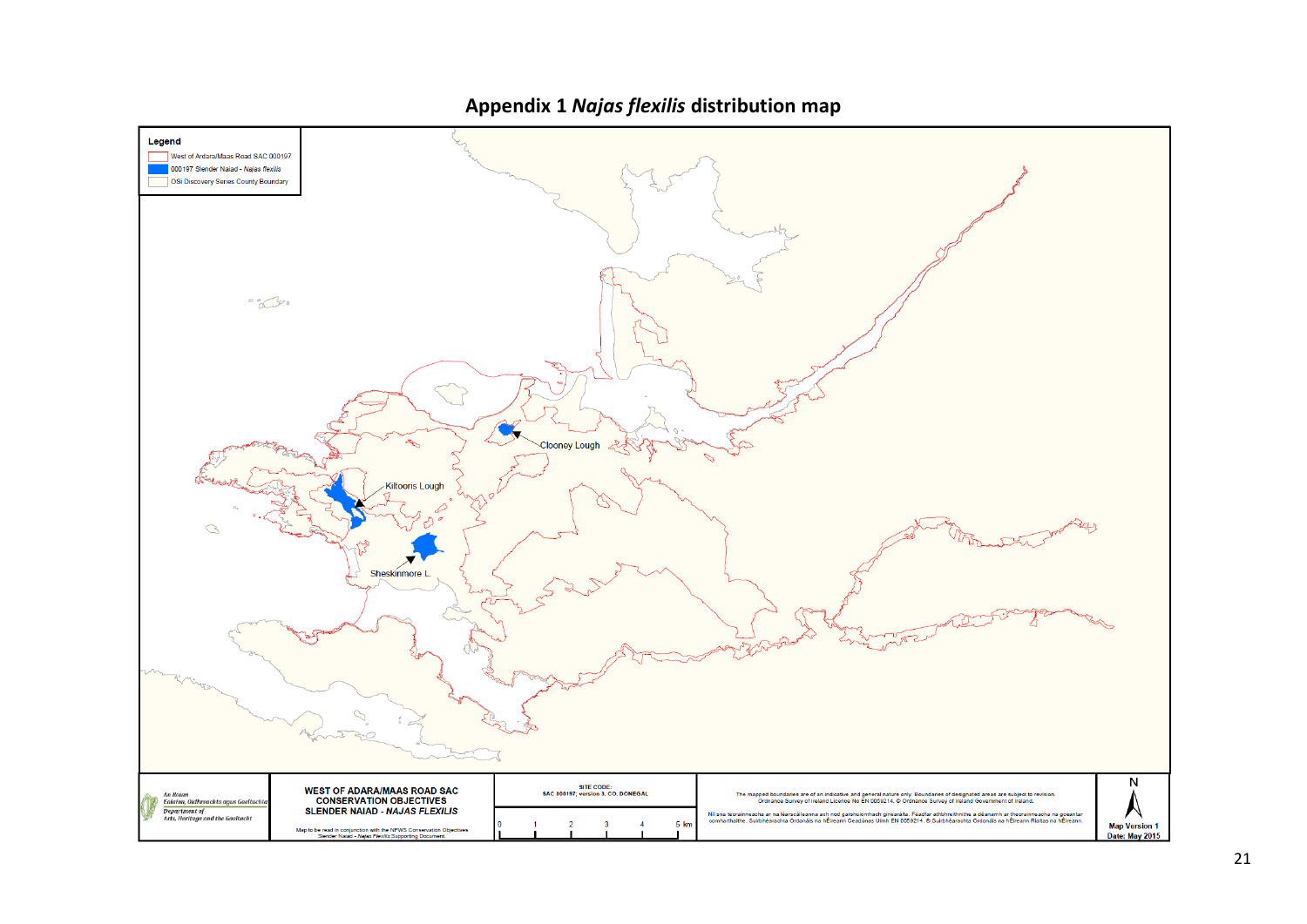<span id="page-21-0"></span>

# **Appendix 1** *Najas flexilis* **distribution map**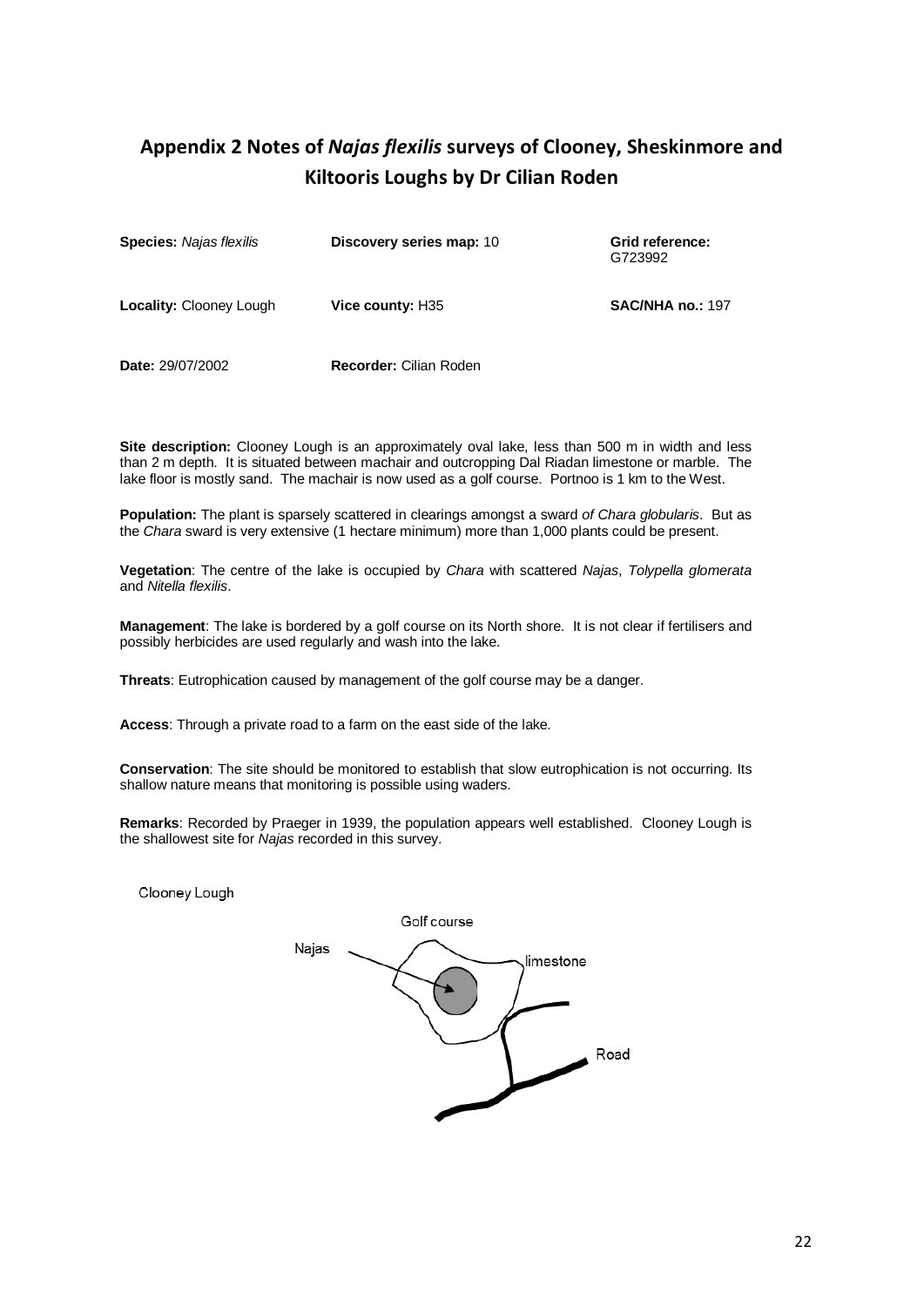# <span id="page-22-0"></span>**Appendix 2 Notes of** *Najas flexilis* **surveys of Clooney, Sheskinmore and Kiltooris Loughs by Dr Cilian Roden**

| <b>Species: Najas flexilis</b> | Discovery series map: 10      | Grid reference:<br>G723992 |
|--------------------------------|-------------------------------|----------------------------|
| <b>Locality: Clooney Lough</b> | Vice county: H35              | <b>SAC/NHA no.: 197</b>    |
| <b>Date: 29/07/2002</b>        | <b>Recorder: Cilian Roden</b> |                            |

**Site description:** Clooney Lough is an approximately oval lake, less than 500 m in width and less than 2 m depth. It is situated between machair and outcropping Dal Riadan limestone or marble. The lake floor is mostly sand. The machair is now used as a golf course. Portnoo is 1 km to the West.

**Population:** The plant is sparsely scattered in clearings amongst a sward *of Chara globularis*. But as the *Chara* sward is very extensive (1 hectare minimum) more than 1,000 plants could be present.

**Vegetation**: The centre of the lake is occupied by *Chara* with scattered *Najas*, *Tolypella glomerata* and *Nitella flexilis*.

**Management**: The lake is bordered by a golf course on its North shore. It is not clear if fertilisers and possibly herbicides are used regularly and wash into the lake.

**Threats**: Eutrophication caused by management of the golf course may be a danger.

**Access**: Through a private road to a farm on the east side of the lake.

**Conservation**: The site should be monitored to establish that slow eutrophication is not occurring. Its shallow nature means that monitoring is possible using waders.

**Remarks**: Recorded by Praeger in 1939, the population appears well established. Clooney Lough is the shallowest site for *Najas* recorded in this survey.

Clooney Lough

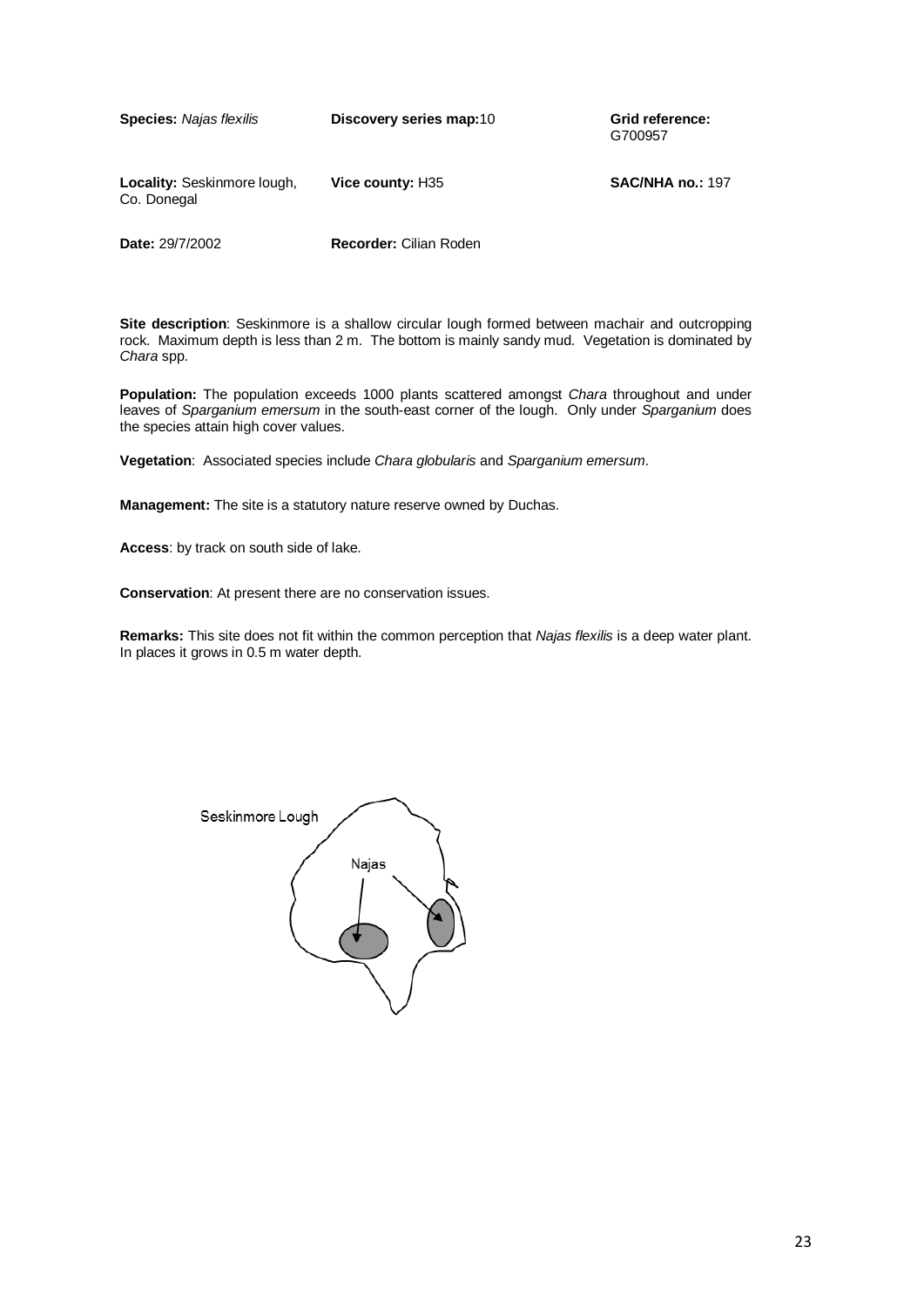| <b>Species: Najas flexilis</b>                    | Discovery series map:10       | Grid reference:<br>G700957 |
|---------------------------------------------------|-------------------------------|----------------------------|
| <b>Locality: Seskinmore lough,</b><br>Co. Donegal | Vice county: H35              | <b>SAC/NHA no.: 197</b>    |
| <b>Date: 29/7/2002</b>                            | <b>Recorder: Cilian Roden</b> |                            |

**Site description**: Seskinmore is a shallow circular lough formed between machair and outcropping rock. Maximum depth is less than 2 m. The bottom is mainly sandy mud. Vegetation is dominated by *Chara* spp.

**Population:** The population exceeds 1000 plants scattered amongst *Chara* throughout and under leaves of *Sparganium emersum* in the south-east corner of the lough. Only under *Sparganium* does the species attain high cover values.

**Vegetation**: Associated species include *Chara globularis* and *Sparganium emersum*.

**Management:** The site is a statutory nature reserve owned by Duchas.

**Access**: by track on south side of lake.

**Conservation**: At present there are no conservation issues.

**Remarks:** This site does not fit within the common perception that *Najas flexilis* is a deep water plant. In places it grows in 0.5 m water depth.

Seskinmore Lough Najas